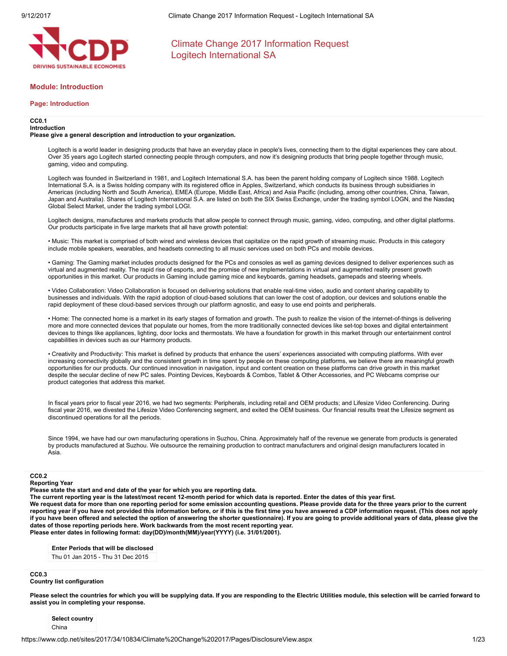

## Module: Introduction

### Page: Introduction

#### CC0.1 Introduction

## Please give a general description and introduction to your organization.

Logitech is a world leader in designing products that have an everyday place in people's lives, connecting them to the digital experiences they care about. Over 35 years ago Logitech started connecting people through computers, and now it's designing products that bring people together through music, gaming, video and computing.

Logitech was founded in Switzerland in 1981, and Logitech International S.A. has been the parent holding company of Logitech since 1988. Logitech International S.A. is a Swiss holding company with its registered office in Apples, Switzerland, which conducts its business through subsidiaries in Americas (including North and South America), EMEA (Europe, Middle East, Africa) and Asia Pacific (including, among other countries, China, Taiwan, Japan and Australia). Shares of Logitech International S.A. are listed on both the SIX Swiss Exchange, under the trading symbol LOGN, and the Nasdaq Global Select Market, under the trading symbol LOGI.

Logitech designs, manufactures and markets products that allow people to connect through music, gaming, video, computing, and other digital platforms. Our products participate in five large markets that all have growth potential:

• Music: This market is comprised of both wired and wireless devices that capitalize on the rapid growth of streaming music. Products in this category include mobile speakers, wearables, and headsets connecting to all music services used on both PCs and mobile devices.

• Gaming: The Gaming market includes products designed for the PCs and consoles as well as gaming devices designed to deliver experiences such as virtual and augmented reality. The rapid rise of esports, and the promise of new implementations in virtual and augmented reality present growth opportunities in this market. Our products in Gaming include gaming mice and keyboards, gaming headsets, gamepads and steering wheels.

• Video Collaboration: Video Collaboration is focused on delivering solutions that enable real-time video, audio and content sharing capability to businesses and individuals. With the rapid adoption of cloud-based solutions that can lower the cost of adoption, our devices and solutions enable the rapid deployment of these cloud-based services through our platform agnostic, and easy to use end points and peripherals.

• Home: The connected home is a market in its early stages of formation and growth. The push to realize the vision of the internet-of-things is delivering more and more connected devices that populate our homes, from the more traditionally connected devices like set-top boxes and digital entertainment devices to things like appliances, lighting, door locks and thermostats. We have a foundation for growth in this market through our entertainment control capabilities in devices such as our Harmony products.

• Creativity and Productivity: This market is defined by products that enhance the users' experiences associated with computing platforms. With ever increasing connectivity globally and the consistent growth in time spent by people on these computing platforms, we believe there are meaningful growth opportunities for our products. Our continued innovation in navigation, input and content creation on these platforms can drive growth in this market despite the secular decline of new PC sales. Pointing Devices, Keyboards & Combos, Tablet & Other Accessories, and PC Webcams comprise our product categories that address this market.

In fiscal years prior to fiscal year 2016, we had two segments: Peripherals, including retail and OEM products; and Lifesize Video Conferencing. During fiscal year 2016, we divested the Lifesize Video Conferencing segment, and exited the OEM business. Our financial results treat the Lifesize segment as discontinued operations for all the periods.

Since 1994, we have had our own manufacturing operations in Suzhou, China. Approximately half of the revenue we generate from products is generated by products manufactured at Suzhou. We outsource the remaining production to contract manufacturers and original design manufacturers located in Asia.

### CC0.2

## Reporting Year

Please state the start and end date of the year for which you are reporting data.

The current reporting year is the latest/most recent 12-month period for which data is reported. Enter the dates of this year first. We request data for more than one reporting period for some emission accounting questions. Please provide data for the three years prior to the current reporting year if you have not provided this information before, or if this is the first time you have answered a CDP information request. (This does not apply if you have been offered and selected the option of answering the shorter questionnaire). If you are going to provide additional years of data, please give the dates of those reporting periods here. Work backwards from the most recent reporting year. Please enter dates in following format: day(DD)/month(MM)/year(YYYY) (i.e. 31/01/2001).

Enter Periods that will be disclosed

Thu 01 Jan 2015 - Thu 31 Dec 2015

## CC<sub>0</sub>3

Country list configuration

Please select the countries for which you will be supplying data. If you are responding to the Electric Utilities module, this selection will be carried forward to assist you in completing your response.

Select country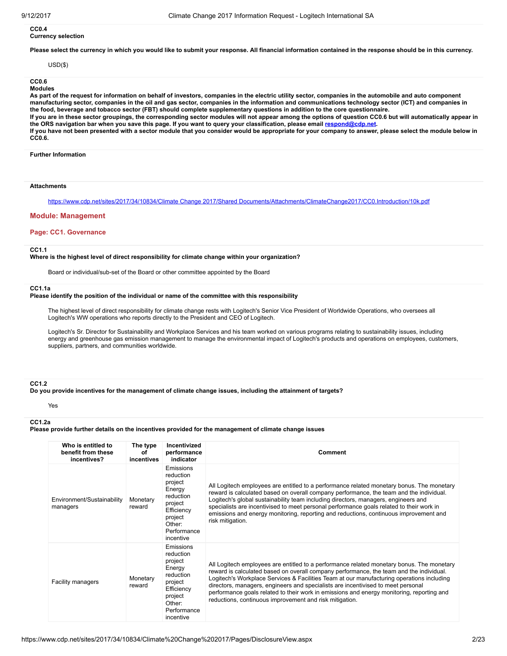### CC0.4 Currency selection

Please select the currency in which you would like to submit your response. All financial information contained in the response should be in this currency.

#### USD(\$)

# CC0.6

Modules

As part of the request for information on behalf of investors, companies in the electric utility sector, companies in the automobile and auto component manufacturing sector, companies in the oil and gas sector, companies in the information and communications technology sector (ICT) and companies in the food, beverage and tobacco sector (FBT) should complete supplementary questions in addition to the core questionnaire.

If you are in these sector groupings, the corresponding sector modules will not appear among the options of question CC0.6 but will automatically appear in the ORS navigation bar when you save this page. If you want to query your classification, please email [respond@cdp.net](mailto:respond@cdp.net).

If you have not been presented with a sector module that you consider would be appropriate for your company to answer, please select the module below in CC0.6.

#### Further Information

### **Attachments**

https://www.cdp.net/sites/2017/34/10834/Climate Change 2017/Shared [Documents/Attachments/ClimateChange2017/CC0.Introduction/10k.pdf](https://www.cdp.net/sites/2017/34/10834/Climate%20Change%202017/Shared%20Documents/Attachments/ClimateChange2017/CC0.Introduction/10k.pdf)

#### Module: Management

#### Page: CC1. Governance

## CC1.1

Where is the highest level of direct responsibility for climate change within your organization?

Board or individual/sub-set of the Board or other committee appointed by the Board

#### CC1.1a

### Please identify the position of the individual or name of the committee with this responsibility

The highest level of direct responsibility for climate change rests with Logitech's Senior Vice President of Worldwide Operations, who oversees all Logitech's WW operations who reports directly to the President and CEO of Logitech.

Logitech's Sr. Director for Sustainability and Workplace Services and his team worked on various programs relating to sustainability issues, including energy and greenhouse gas emission management to manage the environmental impact of Logitech's products and operations on employees, customers, suppliers, partners, and communities worldwide.

#### CC1.2

Do you provide incentives for the management of climate change issues, including the attainment of targets?

# CC1.2a

Yes

Please provide further details on the incentives provided for the management of climate change issues

| Who is entitled to<br>benefit from these<br>incentives? | The type<br>Ωf<br>incentives | Incentivized<br>performance<br>indicator                                                                                           | Comment                                                                                                                                                                                                                                                                                                                                                                                                                                                                                                                       |
|---------------------------------------------------------|------------------------------|------------------------------------------------------------------------------------------------------------------------------------|-------------------------------------------------------------------------------------------------------------------------------------------------------------------------------------------------------------------------------------------------------------------------------------------------------------------------------------------------------------------------------------------------------------------------------------------------------------------------------------------------------------------------------|
| Environment/Sustainability<br>managers                  | Monetary<br>reward           | Emissions<br>reduction<br>project<br>Energy<br>reduction<br>project<br>Efficiency<br>project<br>Other:<br>Performance<br>incentive | All Logitech employees are entitled to a performance related monetary bonus. The monetary<br>reward is calculated based on overall company performance, the team and the individual.<br>Logitech's global sustainability team including directors, managers, engineers and<br>specialists are incentivised to meet personal performance goals related to their work in<br>emissions and energy monitoring, reporting and reductions, continuous improvement and<br>risk mitigation.                                           |
| <b>Facility managers</b>                                | Monetary<br>reward           | Emissions<br>reduction<br>project<br>Energy<br>reduction<br>project<br>Efficiency<br>project<br>Other:<br>Performance<br>incentive | All Logitech employees are entitled to a performance related monetary bonus. The monetary<br>reward is calculated based on overall company performance, the team and the individual.<br>Logitech's Workplace Services & Facilities Team at our manufacturing operations including<br>directors, managers, engineers and specialists are incentivised to meet personal<br>performance goals related to their work in emissions and energy monitoring, reporting and<br>reductions, continuous improvement and risk mitigation. |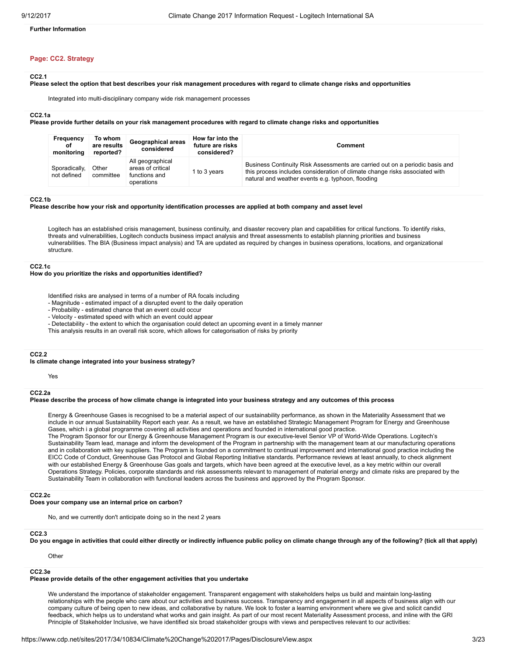# Further Information

# Page: CC2. Strategy

### CC2.1

# Please select the option that best describes your risk management procedures with regard to climate change risks and opportunities

Integrated into multi-disciplinary company wide risk management processes

#### CC2.1a

Please provide further details on your risk management procedures with regard to climate change risks and opportunities

| Frequency<br>οf<br>monitoring | To whom<br>are results<br>reported? | Geographical areas<br>considered                                     | How far into the<br>future are risks<br>considered? | Comment                                                                                                                                                                                                          |
|-------------------------------|-------------------------------------|----------------------------------------------------------------------|-----------------------------------------------------|------------------------------------------------------------------------------------------------------------------------------------------------------------------------------------------------------------------|
| Sporadically,<br>not defined  | Other<br>committee                  | All geographical<br>areas of critical<br>functions and<br>operations | 1 to 3 vears                                        | Business Continuity Risk Assessments are carried out on a periodic basis and<br>this process includes consideration of climate change risks associated with<br>natural and weather events e.g. typhoon, flooding |

## CC2.1b

#### Please describe how your risk and opportunity identification processes are applied at both company and asset level

Logitech has an established crisis management, business continuity, and disaster recovery plan and capabilities for critical functions. To identify risks, threats and vulnerabilities, Logitech conducts business impact analysis and threat assessments to establish planning priorities and business vulnerabilities. The BIA (Business impact analysis) and TA are updated as required by changes in business operations, locations, and organizational structure.

#### CC2.1c

How do you prioritize the risks and opportunities identified?

- Identified risks are analysed in terms of a number of RA focals including
- Magnitude estimated impact of a disrupted event to the daily operation
- Probability estimated chance that an event could occur
- Velocity estimated speed with which an event could appear
- Detectability the extent to which the organisation could detect an upcoming event in a timely manner
- This analysis results in an overall risk score, which allows for categorisation of risks by priority

#### CC2.2

Is climate change integrated into your business strategy?

Yes

#### CC2.2a

## Please describe the process of how climate change is integrated into your business strategy and any outcomes of this process

Energy & Greenhouse Gases is recognised to be a material aspect of our sustainability performance, as shown in the Materiality Assessment that we include in our annual Sustainability Report each year. As a result, we have an established Strategic Management Program for Energy and Greenhouse Gases, which i a global programme covering all activities and operations and founded in international good practice.

The Program Sponsor for our Energy & Greenhouse Management Program is our executive-level Senior VP of World-Wide Operations. Logitech's Sustainability Team lead, manage and inform the development of the Program in partnership with the management team at our manufacturing operations and in collaboration with key suppliers. The Program is founded on a commitment to continual improvement and international good practice including the EICC Code of Conduct, Greenhouse Gas Protocol and Global Reporting Initiative standards. Performance reviews at least annually, to check alignment with our established Energy & Greenhouse Gas goals and targets, which have been agreed at the executive level, as a key metric within our overall Operations Strategy. Policies, corporate standards and risk assessments relevant to management of material energy and climate risks are prepared by the Sustainability Team in collaboration with functional leaders across the business and approved by the Program Sponsor.

## CC<sub>2.2c</sub>

Does your company use an internal price on carbon?

No, and we currently don't anticipate doing so in the next 2 years

#### CC2.3

Do you engage in activities that could either directly or indirectly influence public policy on climate change through any of the following? (tick all that apply)

Other

#### CC2.3e

## Please provide details of the other engagement activities that you undertake

We understand the importance of stakeholder engagement. Transparent engagement with stakeholders helps us build and maintain long-lasting relationships with the people who care about our activities and business success. Transparency and engagement in all aspects of business align with our company culture of being open to new ideas, and collaborative by nature. We look to foster a learning environment where we give and solicit candid feedback, which helps us to understand what works and gain insight. As part of our most recent Materiality Assessment process, and inline with the GRI Principle of Stakeholder Inclusive, we have identified six broad stakeholder groups with views and perspectives relevant to our activities: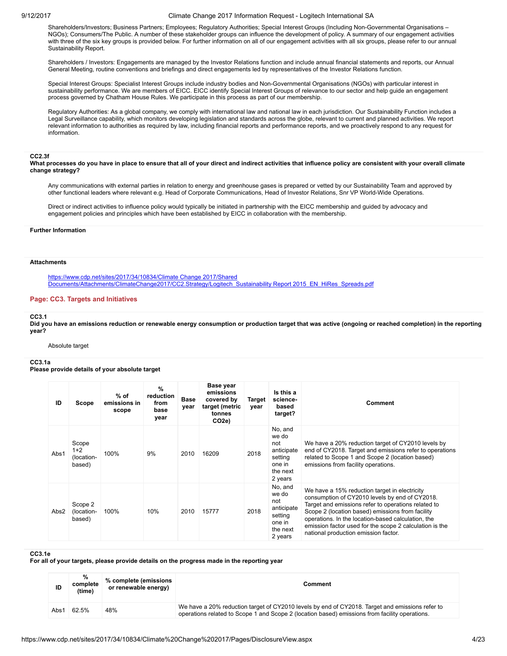Shareholders/Investors; Business Partners; Employees; Regulatory Authorities; Special Interest Groups (Including Non-Governmental Organisations – NGOs); Consumers/The Public. A number of these stakeholder groups can influence the development of policy. A summary of our engagement activities with three of the six key groups is provided below. For further information on all of our engagement activities with all six groups, please refer to our annual Sustainability Report.

Shareholders / Investors: Engagements are managed by the Investor Relations function and include annual financial statements and reports, our Annual General Meeting, routine conventions and briefings and direct engagements led by representatives of the Investor Relations function.

Special Interest Groups: Specialist Interest Groups include industry bodies and Non-Governmental Organisations (NGOs) with particular interest in sustainability performance. We are members of EICC. EICC identify Special Interest Groups of relevance to our sector and help guide an engagement process governed by Chatham House Rules. We participate in this process as part of our membership.

Regulatory Authorities: As a global company, we comply with international law and national law in each jurisdiction. Our Sustainability Function includes a Legal Surveillance capability, which monitors developing legislation and standards across the globe, relevant to current and planned activities. We report relevant information to authorities as required by law, including financial reports and performance reports, and we proactively respond to any request for information.

## CC2.3f

What processes do you have in place to ensure that all of your direct and indirect activities that influence policy are consistent with your overall climate change strategy?

Any communications with external parties in relation to energy and greenhouse gases is prepared or vetted by our Sustainability Team and approved by other functional leaders where relevant e.g. Head of Corporate Communications, Head of Investor Relations, Snr VP World-Wide Operations.

Direct or indirect activities to influence policy would typically be initiated in partnership with the EICC membership and guided by advocacy and engagement policies and principles which have been established by EICC in collaboration with the membership.

### Further Information

#### **Attachments**

https://www.cdp.net/sites/2017/34/10834/Climate Change 2017/Shared [Documents/Attachments/ClimateChange2017/CC2.Strategy/Logitech\\_Sustainability](https://www.cdp.net/sites/2017/34/10834/Climate%20Change%202017/Shared%20Documents/Attachments/ClimateChange2017/CC2.Strategy/Logitech_Sustainability%20Report%202015_EN_HiRes_Spreads.pdf) Report 2015\_EN\_HiRes\_Spreads.pdf

## Page: CC3. Targets and Initiatives

### CC3.1

Did you have an emissions reduction or renewable energy consumption or production target that was active (ongoing or reached completion) in the reporting year?

Absolute target

#### CC3.1a

Please provide details of your absolute target

| ID   | Scope                                  | $%$ of<br>emissions in<br>scope | $\%$<br>reduction<br>from<br>base<br>year | <b>Base</b><br>year | Base year<br>emissions<br>covered by<br>target (metric<br>tonnes<br>CO <sub>2e</sub> ) | <b>Target</b><br>year | Is this a<br>science-<br>based<br>target?                                         | Comment                                                                                                                                                                                                                                                                                                                                                             |
|------|----------------------------------------|---------------------------------|-------------------------------------------|---------------------|----------------------------------------------------------------------------------------|-----------------------|-----------------------------------------------------------------------------------|---------------------------------------------------------------------------------------------------------------------------------------------------------------------------------------------------------------------------------------------------------------------------------------------------------------------------------------------------------------------|
| Abs1 | Scope<br>$1+2$<br>(location-<br>based) | 100%                            | 9%                                        | 2010                | 16209                                                                                  | 2018                  | No, and<br>we do<br>not<br>anticipate<br>setting<br>one in<br>the next<br>2 years | We have a 20% reduction target of CY2010 levels by<br>end of CY2018. Target and emissions refer to operations<br>related to Scope 1 and Scope 2 (location based)<br>emissions from facility operations.                                                                                                                                                             |
| Abs2 | Scope 2<br>(location-<br>based)        | 100%                            | 10%                                       | 2010                | 15777                                                                                  | 2018                  | No, and<br>we do<br>not<br>anticipate<br>setting<br>one in<br>the next<br>2 years | We have a 15% reduction target in electricity<br>consumption of CY2010 levels by end of CY2018.<br>Target and emissions refer to operations related to<br>Scope 2 (location based) emissions from facility<br>operations. In the location-based calculation, the<br>emission factor used for the scope 2 calculation is the<br>national production emission factor. |

### CC3.1e

For all of your targets, please provide details on the progress made in the reporting year

| ID   | %<br>complete<br>(time) | % complete (emissions<br>or renewable energy) | Comment                                                                                                                                                                                           |
|------|-------------------------|-----------------------------------------------|---------------------------------------------------------------------------------------------------------------------------------------------------------------------------------------------------|
| Abs1 | 62.5%                   | 48%                                           | We have a 20% reduction target of CY2010 levels by end of CY2018. Target and emissions refer to<br>operations related to Scope 1 and Scope 2 (location based) emissions from facility operations. |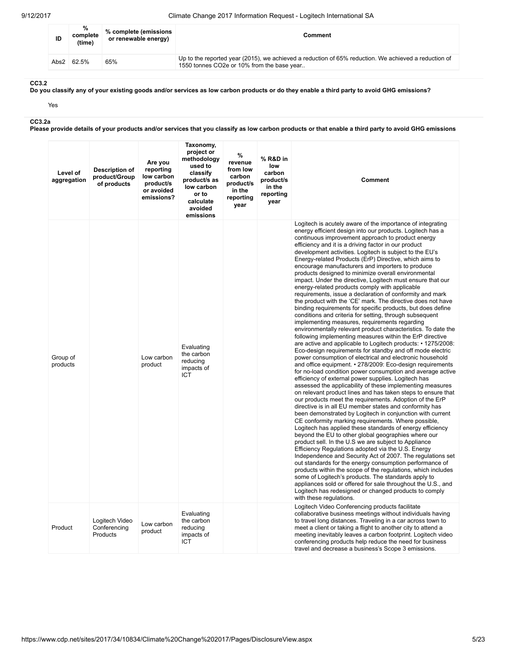| ID   | %<br>complete<br>(time) | % complete (emissions<br>or renewable energy) | Comment                                                                                                                                            |
|------|-------------------------|-----------------------------------------------|----------------------------------------------------------------------------------------------------------------------------------------------------|
| Abs2 | 62.5%                   | 65%                                           | Up to the reported year (2015), we achieved a reduction of 65% reduction. We achieved a reduction of<br>1550 tonnes CO2e or 10% from the base year |

# CC3.2

Do you classify any of your existing goods and/or services as low carbon products or do they enable a third party to avoid GHG emissions?

Yes

CC3.2a

Please provide details of your products and/or services that you classify as low carbon products or that enable a third party to avoid GHG emissions

| Level of<br>aggregation | Description of<br>product/Group<br>of products | Are you<br>reporting<br>low carbon<br>product/s<br>or avoided<br>emissions? | Taxonomy,<br>project or<br>methodology<br>used to<br>classify<br>product/s as<br>low carbon<br>or to<br>calculate<br>avoided<br>emissions | %<br>revenue<br>from low<br>carbon<br>product/s<br>in the<br>reporting<br>year | % R&D in<br>low<br>carbon<br>product/s<br>in the<br>reporting<br>year | <b>Comment</b>                                                                                                                                                                                                                                                                                                                                                                                                                                                                                                                                                                                                                                                                                                                                                                                                                                                                                                                                                                                                                                                                                                                                                                                                                                                                                                                                                                                                                                                                                                                                                                                                                                                                                                                                                                                                                                                                                                                                                                                                                                                                                                                                                                                                                                                                                                                                                                                                  |
|-------------------------|------------------------------------------------|-----------------------------------------------------------------------------|-------------------------------------------------------------------------------------------------------------------------------------------|--------------------------------------------------------------------------------|-----------------------------------------------------------------------|-----------------------------------------------------------------------------------------------------------------------------------------------------------------------------------------------------------------------------------------------------------------------------------------------------------------------------------------------------------------------------------------------------------------------------------------------------------------------------------------------------------------------------------------------------------------------------------------------------------------------------------------------------------------------------------------------------------------------------------------------------------------------------------------------------------------------------------------------------------------------------------------------------------------------------------------------------------------------------------------------------------------------------------------------------------------------------------------------------------------------------------------------------------------------------------------------------------------------------------------------------------------------------------------------------------------------------------------------------------------------------------------------------------------------------------------------------------------------------------------------------------------------------------------------------------------------------------------------------------------------------------------------------------------------------------------------------------------------------------------------------------------------------------------------------------------------------------------------------------------------------------------------------------------------------------------------------------------------------------------------------------------------------------------------------------------------------------------------------------------------------------------------------------------------------------------------------------------------------------------------------------------------------------------------------------------------------------------------------------------------------------------------------------------|
| Group of<br>products    |                                                | Low carbon<br>product                                                       | Evaluating<br>the carbon<br>reducing<br>impacts of<br>ICT                                                                                 |                                                                                |                                                                       | Logitech is acutely aware of the importance of integrating<br>energy efficient design into our products. Logitech has a<br>continuous improvement approach to product energy<br>efficiency and it is a driving factor in our product<br>development activities. Logitech is subject to the EU's<br>Energy-related Products (ErP) Directive, which aims to<br>encourage manufacturers and importers to produce<br>products designed to minimize overall environmental<br>impact. Under the directive, Logitech must ensure that our<br>energy-related products comply with applicable<br>requirements, issue a declaration of conformity and mark<br>the product with the 'CE' mark. The directive does not have<br>binding requirements for specific products, but does define<br>conditions and criteria for setting, through subsequent<br>implementing measures, requirements regarding<br>environmentally relevant product characteristics. To date the<br>following implementing measures within the ErP directive<br>are active and applicable to Logitech products: • 1275/2008:<br>Eco-design requirements for standby and off mode electric<br>power consumption of electrical and electronic household<br>and office equipment. • 278/2009: Eco-design requirements<br>for no-load condition power consumption and average active<br>efficiency of external power supplies. Logitech has<br>assessed the applicability of these implementing measures<br>on relevant product lines and has taken steps to ensure that<br>our products meet the requirements. Adoption of the ErP<br>directive is in all EU member states and conformity has<br>been demonstrated by Logitech in conjunction with current<br>CE conformity marking requirements. Where possible,<br>Logitech has applied these standards of energy efficiency<br>beyond the EU to other global geographies where our<br>product sell. In the U.S we are subject to Appliance<br>Efficiency Regulations adopted via the U.S. Energy<br>Independence and Security Act of 2007. The regulations set<br>out standards for the energy consumption performance of<br>products within the scope of the regulations, which includes<br>some of Logitech's products. The standards apply to<br>appliances sold or offered for sale throughout the U.S., and<br>Logitech has redesigned or changed products to comply<br>with these regulations. |
| Product                 | Logitech Video<br>Conferencing<br>Products     | Low carbon<br>product                                                       | Evaluating<br>the carbon<br>reducing<br>impacts of<br><b>ICT</b>                                                                          |                                                                                |                                                                       | Logitech Video Conferencing products facilitate<br>collaborative business meetings without individuals having<br>to travel long distances. Traveling in a car across town to<br>meet a client or taking a flight to another city to attend a<br>meeting inevitably leaves a carbon footprint. Logitech video<br>conferencing products help reduce the need for business<br>travel and decrease a business's Scope 3 emissions.                                                                                                                                                                                                                                                                                                                                                                                                                                                                                                                                                                                                                                                                                                                                                                                                                                                                                                                                                                                                                                                                                                                                                                                                                                                                                                                                                                                                                                                                                                                                                                                                                                                                                                                                                                                                                                                                                                                                                                                  |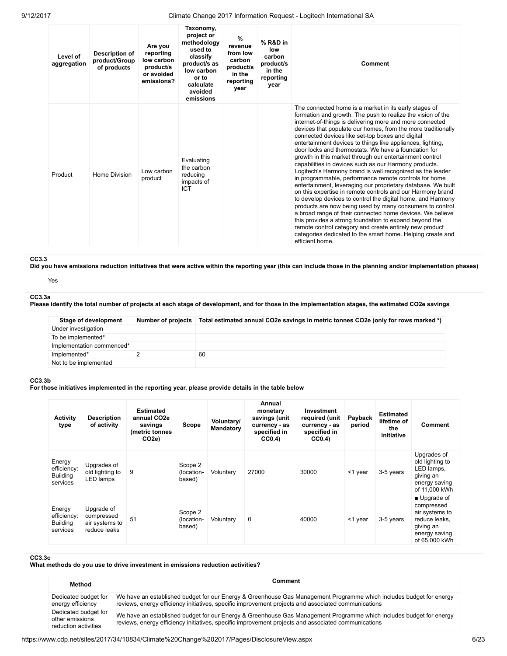| Level of<br>aggregation | Description of<br>product/Group<br>of products | Are you<br>reporting<br>low carbon<br>product/s<br>or avoided<br>emissions? | Taxonomy,<br>project or<br>methodology<br>used to<br>classify<br>product/s as<br>low carbon<br>or to<br>calculate<br>avoided<br>emissions | $\frac{9}{6}$<br>revenue<br>from low<br>carbon<br>product/s<br>in the<br>reporting<br>year | % R&D in<br>low<br>carbon<br>product/s<br>in the<br>reporting<br>year | Comment                                                                                                                                                                                                                                                                                                                                                                                                                                                                                                                                                                                                                                                                                                                                                                                                                                                                                                                                                                                                                                                                                                                                                                                          |
|-------------------------|------------------------------------------------|-----------------------------------------------------------------------------|-------------------------------------------------------------------------------------------------------------------------------------------|--------------------------------------------------------------------------------------------|-----------------------------------------------------------------------|--------------------------------------------------------------------------------------------------------------------------------------------------------------------------------------------------------------------------------------------------------------------------------------------------------------------------------------------------------------------------------------------------------------------------------------------------------------------------------------------------------------------------------------------------------------------------------------------------------------------------------------------------------------------------------------------------------------------------------------------------------------------------------------------------------------------------------------------------------------------------------------------------------------------------------------------------------------------------------------------------------------------------------------------------------------------------------------------------------------------------------------------------------------------------------------------------|
| Product                 | Home Division                                  | Low carbon<br>product                                                       | Evaluating<br>the carbon<br>reducing<br>impacts of<br>ICT                                                                                 |                                                                                            |                                                                       | The connected home is a market in its early stages of<br>formation and growth. The push to realize the vision of the<br>internet-of-things is delivering more and more connected<br>devices that populate our homes, from the more traditionally<br>connected devices like set-top boxes and digital<br>entertainment devices to things like appliances, lighting,<br>door locks and thermostats. We have a foundation for<br>growth in this market through our entertainment control<br>capabilities in devices such as our Harmony products.<br>Logitech's Harmony brand is well recognized as the leader<br>in programmable, performance remote controls for home<br>entertainment, leveraging our proprietary database. We built<br>on this expertise in remote controls and our Harmony brand<br>to develop devices to control the digital home, and Harmony<br>products are now being used by many consumers to control<br>a broad range of their connected home devices. We believe<br>this provides a strong foundation to expand beyond the<br>remote control category and create entirely new product<br>categories dedicated to the smart home. Helping create and<br>efficient home. |

# CC3.3

Did you have emissions reduction initiatives that were active within the reporting year (this can include those in the planning and/or implementation phases)

### Yes

### CC3.3a Please identify the total number of projects at each stage of development, and for those in the implementation stages, the estimated CO2e savings

| Stage of development      | Number of projects | Total estimated annual CO2e savings in metric tonnes CO2e (only for rows marked *) |
|---------------------------|--------------------|------------------------------------------------------------------------------------|
| Under investigation       |                    |                                                                                    |
| To be implemented*        |                    |                                                                                    |
| Implementation commenced* |                    |                                                                                    |
| Implemented*              |                    | 60                                                                                 |
| Not to be implemented     |                    |                                                                                    |

### CC3.3b

For those initiatives implemented in the reporting year, please provide details in the table below

| <b>Activity</b><br>type                              | <b>Description</b><br>of activity                          | <b>Estimated</b><br>annual CO <sub>2e</sub><br>savings<br>(metric tonnes<br>CO <sub>2e</sub> ) | Scope                           | Voluntary/<br>Mandatory | Annual<br>monetary<br>savings (unit<br>currency - as<br>specified in<br>CC <sub>0.4</sub> | Investment<br>required (unit<br>currency - as<br>specified in<br>CC0.4 | Payback<br>period | <b>Estimated</b><br>lifetime of<br>the<br>initiative | Comment                                                                                                      |
|------------------------------------------------------|------------------------------------------------------------|------------------------------------------------------------------------------------------------|---------------------------------|-------------------------|-------------------------------------------------------------------------------------------|------------------------------------------------------------------------|-------------------|------------------------------------------------------|--------------------------------------------------------------------------------------------------------------|
| Energy<br>efficiency:<br><b>Building</b><br>services | Upgrades of<br>old lighting to<br>LED lamps                | 9                                                                                              | Scope 2<br>(location-<br>based) | Voluntary               | 27000                                                                                     | 30000                                                                  | <1 year           | 3-5 years                                            | Upgrades of<br>old lighting to<br>LED lamps,<br>giving an<br>energy saving<br>of 11,000 kWh                  |
| Energy<br>efficiency:<br><b>Building</b><br>services | Upgrade of<br>compressed<br>air systems to<br>reduce leaks | 51                                                                                             | Scope 2<br>(location-<br>based) | Voluntary               | 0                                                                                         | 40000                                                                  | <1 year           | 3-5 years                                            | ■ Upgrade of<br>compressed<br>air systems to<br>reduce leaks.<br>giving an<br>energy saving<br>of 65,000 kWh |

# CC3.3c

# What methods do you use to drive investment in emissions reduction activities?

| Method                                                          | Comment                                                                                                                                                                                                                    |
|-----------------------------------------------------------------|----------------------------------------------------------------------------------------------------------------------------------------------------------------------------------------------------------------------------|
| Dedicated budget for<br>energy efficiency                       | We have an established budget for our Energy & Greenhouse Gas Management Programme which includes budget for energy<br>reviews, energy efficiency initiatives, specific improvement projects and associated communications |
| Dedicated budget for<br>other emissions<br>reduction activities | We have an established budget for our Energy & Greenhouse Gas Management Programme which includes budget for energy<br>reviews, energy efficiency initiatives, specific improvement projects and associated communications |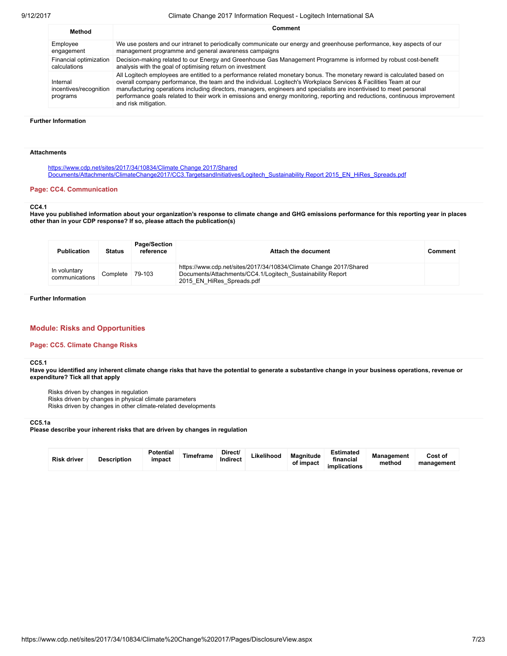| Method                                         | Comment                                                                                                                                                                                                                                                                                                                                                                                                                                                                                                                    |
|------------------------------------------------|----------------------------------------------------------------------------------------------------------------------------------------------------------------------------------------------------------------------------------------------------------------------------------------------------------------------------------------------------------------------------------------------------------------------------------------------------------------------------------------------------------------------------|
| Employee                                       | We use posters and our intranet to periodically communicate our energy and greenhouse performance, key aspects of our                                                                                                                                                                                                                                                                                                                                                                                                      |
| engagement                                     | management programme and general awareness campaigns                                                                                                                                                                                                                                                                                                                                                                                                                                                                       |
| Financial optimization                         | Decision-making related to our Energy and Greenhouse Gas Management Programme is informed by robust cost-benefit                                                                                                                                                                                                                                                                                                                                                                                                           |
| calculations                                   | analysis with the goal of optimising return on investment                                                                                                                                                                                                                                                                                                                                                                                                                                                                  |
| Internal<br>incentives/recognition<br>programs | All Logitech employees are entitled to a performance related monetary bonus. The monetary reward is calculated based on<br>overall company performance, the team and the individual. Logitech's Workplace Services & Facilities Team at our<br>manufacturing operations including directors, managers, engineers and specialists are incentivised to meet personal<br>performance goals related to their work in emissions and energy monitoring, reporting and reductions, continuous improvement<br>and risk mitigation. |

## Further Information

#### Attachments

https://www.cdp.net/sites/2017/34/10834/Climate Change 2017/Shared [Documents/Attachments/ClimateChange2017/CC3.TargetsandInitiatives/Logitech\\_Sustainability](https://www.cdp.net/sites/2017/34/10834/Climate%20Change%202017/Shared%20Documents/Attachments/ClimateChange2017/CC3.TargetsandInitiatives/Logitech_Sustainability%20Report%202015_EN_HiRes_Spreads.pdf) Report 2015\_EN\_HiRes\_Spreads.pdf

### Page: CC4. Communication

#### CC4.1

Have you published information about your organization's response to climate change and GHG emissions performance for this reporting year in places other than in your CDP response? If so, please attach the publication(s)

| <b>Publication</b>             | <b>Status</b> | <b>Page/Section</b><br>reference | Attach the document                                                                                                                                           | Comment |
|--------------------------------|---------------|----------------------------------|---------------------------------------------------------------------------------------------------------------------------------------------------------------|---------|
| In voluntary<br>communications | Complete      | 79-103                           | https://www.cdp.net/sites/2017/34/10834/Climate Change 2017/Shared<br>Documents/Attachments/CC4.1/Logitech Sustainability Report<br>2015 EN HiRes Spreads.pdf |         |

Further Information

# Module: Risks and Opportunities

### Page: CC5. Climate Change Risks

#### CC5.1

Have you identified any inherent climate change risks that have the potential to generate a substantive change in your business operations, revenue or expenditure? Tick all that apply

Risks driven by changes in regulation Risks driven by changes in physical climate parameters Risks driven by changes in other climate-related developments

# CC5.1a

Please describe your inherent risks that are driven by changes in regulation

| <b>Risk driver</b> | <b>Description</b> | <b>Potential</b><br>impact | Timeframe | Direct/<br>Indirect | Likelihood | <b>Magnitude</b><br>of impact | <b>Estimated</b><br>financial<br>implications | <b>Management</b><br>method | Cost of<br>management |
|--------------------|--------------------|----------------------------|-----------|---------------------|------------|-------------------------------|-----------------------------------------------|-----------------------------|-----------------------|
|--------------------|--------------------|----------------------------|-----------|---------------------|------------|-------------------------------|-----------------------------------------------|-----------------------------|-----------------------|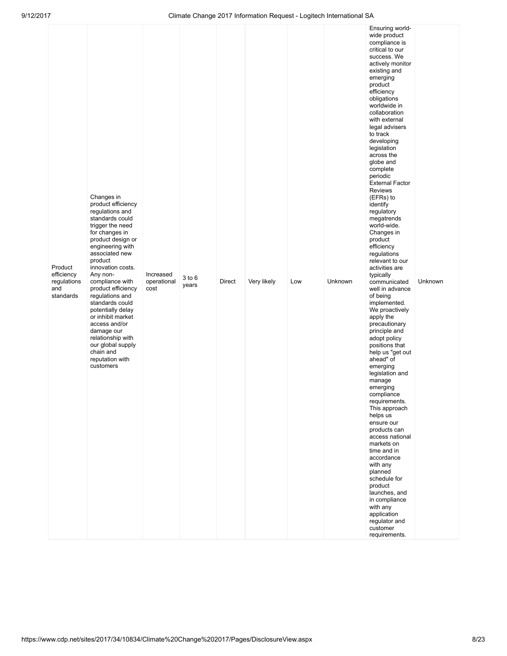| Product<br>efficiency<br>regulations<br>and<br>standards | Changes in<br>product efficiency<br>regulations and<br>standards could<br>trigger the need<br>for changes in<br>product design or<br>engineering with<br>associated new<br>product<br>innovation costs.<br>Any non-<br>compliance with<br>product efficiency<br>regulations and<br>standards could<br>potentially delay<br>or inhibit market<br>access and/or<br>damage our<br>relationship with<br>our global supply<br>chain and<br>reputation with<br>customers | Increased<br>operational<br>cost | $3$ to $6$<br>years | Direct | Very likely | Low | Unknown | wide product<br>compliance is<br>critical to our<br>success. We<br>actively monitor<br>existing and<br>emerging<br>product<br>efficiency<br>obligations<br>worldwide in<br>collaboration<br>with external<br>legal advisers<br>to track<br>developing<br>legislation<br>across the<br>globe and<br>complete<br>periodic<br><b>External Factor</b><br><b>Reviews</b><br>(EFRs) to<br>identify<br>regulatory<br>megatrends<br>world-wide.<br>Changes in<br>product<br>efficiency<br>regulations<br>relevant to our<br>activities are<br>typically<br>communicated<br>well in advance<br>of being<br>implemented.<br>We proactively<br>apply the<br>precautionary<br>principle and<br>adopt policy<br>positions that<br>help us "get out<br>ahead" of<br>emerging<br>legislation and<br>manage<br>emerging<br>compliance<br>requirements.<br>This approach<br>helps us<br>ensure our<br>products can<br>access national<br>markets on<br>time and in<br>accordance<br>with any<br>planned<br>schedule for<br>product<br>launches, and<br>in compliance<br>with any<br>application<br>regulator and<br>customer<br>requirements. | Unknown |
|----------------------------------------------------------|--------------------------------------------------------------------------------------------------------------------------------------------------------------------------------------------------------------------------------------------------------------------------------------------------------------------------------------------------------------------------------------------------------------------------------------------------------------------|----------------------------------|---------------------|--------|-------------|-----|---------|------------------------------------------------------------------------------------------------------------------------------------------------------------------------------------------------------------------------------------------------------------------------------------------------------------------------------------------------------------------------------------------------------------------------------------------------------------------------------------------------------------------------------------------------------------------------------------------------------------------------------------------------------------------------------------------------------------------------------------------------------------------------------------------------------------------------------------------------------------------------------------------------------------------------------------------------------------------------------------------------------------------------------------------------------------------------------------------------------------------------------|---------|
|----------------------------------------------------------|--------------------------------------------------------------------------------------------------------------------------------------------------------------------------------------------------------------------------------------------------------------------------------------------------------------------------------------------------------------------------------------------------------------------------------------------------------------------|----------------------------------|---------------------|--------|-------------|-----|---------|------------------------------------------------------------------------------------------------------------------------------------------------------------------------------------------------------------------------------------------------------------------------------------------------------------------------------------------------------------------------------------------------------------------------------------------------------------------------------------------------------------------------------------------------------------------------------------------------------------------------------------------------------------------------------------------------------------------------------------------------------------------------------------------------------------------------------------------------------------------------------------------------------------------------------------------------------------------------------------------------------------------------------------------------------------------------------------------------------------------------------|---------|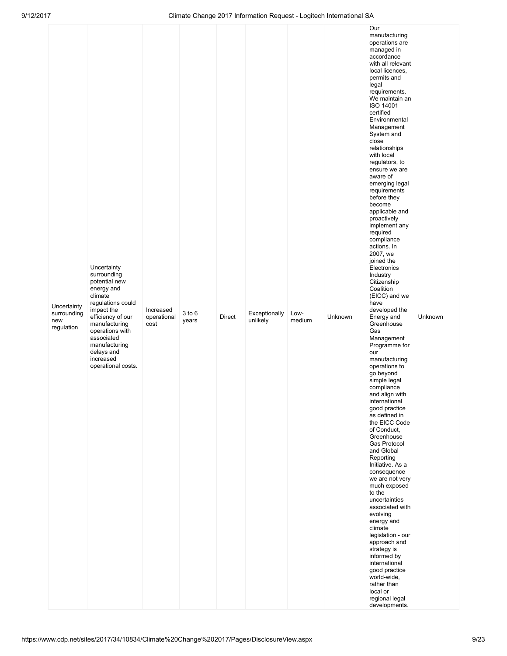| Uncertainty<br>surrounding<br>new<br>regulation | Uncertainty<br>surrounding<br>potential new<br>energy and<br>climate<br>regulations could<br>impact the<br>efficiency of our<br>manufacturing<br>operations with<br>associated<br>manufacturing<br>delays and<br>increased<br>operational costs. | Increased<br>operational<br>cost | $3$ to $6$<br>years | Direct | Exceptionally<br>unlikely | Low-<br>medium | Unknown | Our<br>manufacturing<br>operations are<br>managed in<br>accordance<br>with all relevant<br>local licences,<br>permits and<br>legal<br>requirements.<br>We maintain an<br>ISO 14001<br>certified<br>Environmental<br>Management<br>System and<br>close<br>relationships<br>with local<br>regulators, to<br>ensure we are<br>aware of<br>emerging legal<br>requirements<br>before they<br>become<br>applicable and<br>proactively<br>implement any<br>required<br>compliance<br>actions. In<br>2007, we<br>joined the<br>Electronics<br>Industry<br>Citizenship<br>Coalition<br>(EICC) and we<br>have<br>developed the<br>Energy and<br>Greenhouse<br>Gas<br>Management<br>Programme for<br>our<br>manufacturing<br>operations to<br>go beyond<br>simple legal<br>compliance<br>and align with<br>international<br>good practice<br>as defined in<br>the EICC Code<br>of Conduct,<br>Greenhouse<br>Gas Protocol<br>and Global<br>Reporting<br>Initiative. As a<br>consequence<br>we are not very<br>much exposed<br>to the<br>uncertainties<br>associated with<br>evolving<br>energy and<br>climate<br>legislation - our<br>approach and<br>strategy is<br>informed by<br>international<br>good practice<br>world-wide,<br>rather than<br>local or<br>regional legal<br>developments. | Unknown |
|-------------------------------------------------|--------------------------------------------------------------------------------------------------------------------------------------------------------------------------------------------------------------------------------------------------|----------------------------------|---------------------|--------|---------------------------|----------------|---------|-------------------------------------------------------------------------------------------------------------------------------------------------------------------------------------------------------------------------------------------------------------------------------------------------------------------------------------------------------------------------------------------------------------------------------------------------------------------------------------------------------------------------------------------------------------------------------------------------------------------------------------------------------------------------------------------------------------------------------------------------------------------------------------------------------------------------------------------------------------------------------------------------------------------------------------------------------------------------------------------------------------------------------------------------------------------------------------------------------------------------------------------------------------------------------------------------------------------------------------------------------------------------------------|---------|
|-------------------------------------------------|--------------------------------------------------------------------------------------------------------------------------------------------------------------------------------------------------------------------------------------------------|----------------------------------|---------------------|--------|---------------------------|----------------|---------|-------------------------------------------------------------------------------------------------------------------------------------------------------------------------------------------------------------------------------------------------------------------------------------------------------------------------------------------------------------------------------------------------------------------------------------------------------------------------------------------------------------------------------------------------------------------------------------------------------------------------------------------------------------------------------------------------------------------------------------------------------------------------------------------------------------------------------------------------------------------------------------------------------------------------------------------------------------------------------------------------------------------------------------------------------------------------------------------------------------------------------------------------------------------------------------------------------------------------------------------------------------------------------------|---------|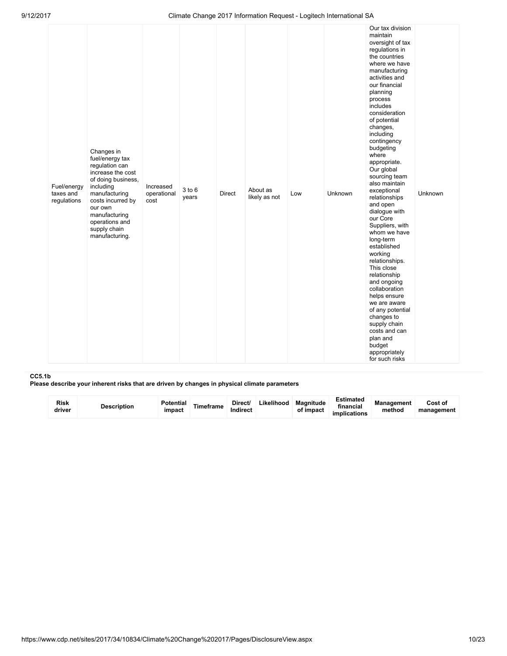| Fuel/energy<br>taxes and<br>regulations | Changes in<br>fuel/energy tax<br>regulation can<br>increase the cost<br>of doing business,<br>including<br>manufacturing<br>costs incurred by<br>our own<br>manufacturing<br>operations and<br>supply chain<br>manufacturing. | Increased<br>operational<br>cost | 3 to 6<br>years | Direct | About as<br>likely as not | Low | Unknown | Our tax division<br>maintain<br>oversight of tax<br>regulations in<br>the countries<br>where we have<br>manufacturing<br>activities and<br>our financial<br>planning<br>process<br>includes<br>consideration<br>of potential<br>changes,<br>including<br>contingency<br>budgeting<br>where<br>appropriate.<br>Our global<br>sourcing team<br>also maintain<br>exceptional<br>relationships<br>and open<br>dialogue with<br>our Core<br>Suppliers, with<br>whom we have<br>long-term<br>established<br>working<br>relationships.<br>This close<br>relationship<br>and ongoing<br>collaboration<br>helps ensure<br>we are aware<br>of any potential<br>changes to<br>supply chain<br>costs and can<br>plan and<br>budget<br>appropriately<br>for such risks | Unknown |  |
|-----------------------------------------|-------------------------------------------------------------------------------------------------------------------------------------------------------------------------------------------------------------------------------|----------------------------------|-----------------|--------|---------------------------|-----|---------|-----------------------------------------------------------------------------------------------------------------------------------------------------------------------------------------------------------------------------------------------------------------------------------------------------------------------------------------------------------------------------------------------------------------------------------------------------------------------------------------------------------------------------------------------------------------------------------------------------------------------------------------------------------------------------------------------------------------------------------------------------------|---------|--|
|-----------------------------------------|-------------------------------------------------------------------------------------------------------------------------------------------------------------------------------------------------------------------------------|----------------------------------|-----------------|--------|---------------------------|-----|---------|-----------------------------------------------------------------------------------------------------------------------------------------------------------------------------------------------------------------------------------------------------------------------------------------------------------------------------------------------------------------------------------------------------------------------------------------------------------------------------------------------------------------------------------------------------------------------------------------------------------------------------------------------------------------------------------------------------------------------------------------------------------|---------|--|

#### CC5.1b

Please describe your inherent risks that are driven by changes in physical climate parameters

| Risk<br>driver | <b>Description</b> | <b>Potential</b><br>impact | Timeframe | Direct/<br>Indirect | Likelihood | <b>Magnitude</b><br>of impact | Estimated<br>financial<br><i>implications</i> | <b>Management</b><br>method | Cost of<br>management |
|----------------|--------------------|----------------------------|-----------|---------------------|------------|-------------------------------|-----------------------------------------------|-----------------------------|-----------------------|
|----------------|--------------------|----------------------------|-----------|---------------------|------------|-------------------------------|-----------------------------------------------|-----------------------------|-----------------------|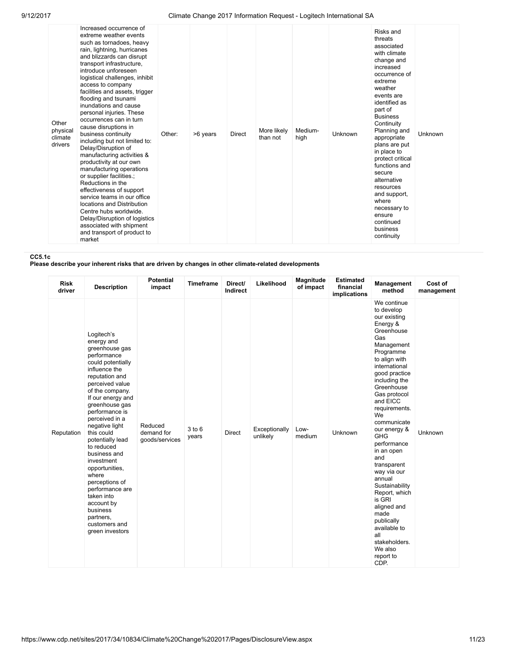| Other<br>physical<br>climate<br>drivers | Increased occurrence of<br>extreme weather events<br>such as tornadoes, heavy<br>rain, lightning, hurricanes<br>and blizzards can disrupt<br>transport infrastructure,<br>introduce unforeseen<br>logistical challenges, inhibit<br>access to company<br>facilities and assets, trigger<br>flooding and tsunami<br>inundations and cause<br>personal injuries. These<br>occurrences can in turn<br>cause disruptions in<br>business continuity<br>including but not limited to:<br>Delay/Disruption of<br>manufacturing activities &<br>productivity at our own<br>manufacturing operations<br>or supplier facilities.;<br>Reductions in the<br>effectiveness of support<br>service teams in our office<br>locations and Distribution<br>Centre hubs worldwide.<br>Delay/Disruption of logistics<br>associated with shipment<br>and transport of product to<br>market | Other: | >6 years | <b>Direct</b> | More likely<br>than not | Medium-<br>high | <b>Unknown</b> | Risks and<br>threats<br>associated<br>with climate<br>change and<br>increased<br>occurrence of<br>extreme<br>weather<br>events are<br>identified as<br>part of<br><b>Business</b><br>Continuity<br>Planning and<br>appropriate<br>plans are put<br>in place to<br>protect critical<br>functions and<br>secure<br>alternative<br>resources<br>and support,<br>where<br>necessary to<br>ensure<br>continued<br>business<br>continuity | <b>Unknown</b> |  |
|-----------------------------------------|-----------------------------------------------------------------------------------------------------------------------------------------------------------------------------------------------------------------------------------------------------------------------------------------------------------------------------------------------------------------------------------------------------------------------------------------------------------------------------------------------------------------------------------------------------------------------------------------------------------------------------------------------------------------------------------------------------------------------------------------------------------------------------------------------------------------------------------------------------------------------|--------|----------|---------------|-------------------------|-----------------|----------------|-------------------------------------------------------------------------------------------------------------------------------------------------------------------------------------------------------------------------------------------------------------------------------------------------------------------------------------------------------------------------------------------------------------------------------------|----------------|--|
|-----------------------------------------|-----------------------------------------------------------------------------------------------------------------------------------------------------------------------------------------------------------------------------------------------------------------------------------------------------------------------------------------------------------------------------------------------------------------------------------------------------------------------------------------------------------------------------------------------------------------------------------------------------------------------------------------------------------------------------------------------------------------------------------------------------------------------------------------------------------------------------------------------------------------------|--------|----------|---------------|-------------------------|-----------------|----------------|-------------------------------------------------------------------------------------------------------------------------------------------------------------------------------------------------------------------------------------------------------------------------------------------------------------------------------------------------------------------------------------------------------------------------------------|----------------|--|

CC5.1c

Please describe your inherent risks that are driven by changes in other climate-related developments

| <b>Risk</b><br>driver | <b>Description</b>                                                                                                                                                                                                                                                                                                                                                                                                                                                                          | <b>Potential</b><br>impact              | <b>Timeframe</b> | Direct/<br>Indirect | Likelihood                | Magnitude<br>of impact | <b>Estimated</b><br>financial<br><b>implications</b> | Management<br>method                                                                                                                                                                                                                                                                                                                                                                                                                                                                                                          | Cost of<br>management |
|-----------------------|---------------------------------------------------------------------------------------------------------------------------------------------------------------------------------------------------------------------------------------------------------------------------------------------------------------------------------------------------------------------------------------------------------------------------------------------------------------------------------------------|-----------------------------------------|------------------|---------------------|---------------------------|------------------------|------------------------------------------------------|-------------------------------------------------------------------------------------------------------------------------------------------------------------------------------------------------------------------------------------------------------------------------------------------------------------------------------------------------------------------------------------------------------------------------------------------------------------------------------------------------------------------------------|-----------------------|
| Reputation            | Logitech's<br>energy and<br>greenhouse gas<br>performance<br>could potentially<br>influence the<br>reputation and<br>perceived value<br>of the company.<br>If our energy and<br>greenhouse gas<br>performance is<br>perceived in a<br>negative light<br>this could<br>potentially lead<br>to reduced<br>business and<br>investment<br>opportunities,<br>where<br>perceptions of<br>performance are<br>taken into<br>account by<br>business<br>partners,<br>customers and<br>green investors | Reduced<br>demand for<br>goods/services | 3 to 6<br>years  | <b>Direct</b>       | Exceptionally<br>unlikely | Low-<br>medium         | Unknown                                              | We continue<br>to develop<br>our existing<br>Energy &<br>Greenhouse<br>Gas<br>Management<br>Programme<br>to align with<br>international<br>good practice<br>including the<br>Greenhouse<br>Gas protocol<br>and EICC<br>requirements.<br>We<br>communicate<br>our energy &<br><b>GHG</b><br>performance<br>in an open<br>and<br>transparent<br>way via our<br>annual<br>Sustainability<br>Report, which<br>is GRI<br>aligned and<br>made<br>publically<br>available to<br>all<br>stakeholders.<br>We also<br>report to<br>CDP. | Unknown               |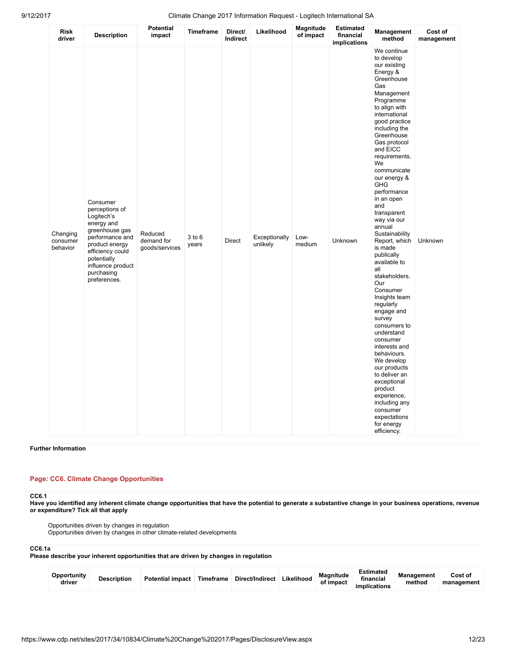| Risk<br>driver                   | <b>Description</b>                                                                                                                                                                                  | <b>Potential</b><br>impact              | <b>Timeframe</b>    | Direct/<br>Indirect | Likelihood                | Magnitude<br>of impact | <b>Estimated</b><br>financial<br>implications | Management<br>method                                                                                                                                                                                                                                                                                                                                                                                                                                                                                                                                                                                                                                                                                                                                                                         | Cost of<br>management |
|----------------------------------|-----------------------------------------------------------------------------------------------------------------------------------------------------------------------------------------------------|-----------------------------------------|---------------------|---------------------|---------------------------|------------------------|-----------------------------------------------|----------------------------------------------------------------------------------------------------------------------------------------------------------------------------------------------------------------------------------------------------------------------------------------------------------------------------------------------------------------------------------------------------------------------------------------------------------------------------------------------------------------------------------------------------------------------------------------------------------------------------------------------------------------------------------------------------------------------------------------------------------------------------------------------|-----------------------|
| Changing<br>consumer<br>behavior | Consumer<br>perceptions of<br>Logitech's<br>energy and<br>greenhouse gas<br>performance and<br>product energy<br>efficiency could<br>potentially<br>influence product<br>purchasing<br>preferences. | Reduced<br>demand for<br>goods/services | $3$ to $6$<br>years | Direct              | Exceptionally<br>unlikely | Low-<br>medium         | Unknown                                       | We continue<br>to develop<br>our existing<br>Energy &<br>Greenhouse<br>Gas<br>Management<br>Programme<br>to align with<br>international<br>good practice<br>including the<br>Greenhouse<br>Gas protocol<br>and EICC<br>requirements.<br>We<br>communicate<br>our energy &<br><b>GHG</b><br>performance<br>in an open<br>and<br>transparent<br>way via our<br>annual<br>Sustainability<br>Report, which<br>is made<br>publically<br>available to<br>all<br>stakeholders.<br>Our<br>Consumer<br>Insights team<br>regularly<br>engage and<br>survey<br>consumers to<br>understand<br>consumer<br>interests and<br>behaviours.<br>We develop<br>our products<br>to deliver an<br>exceptional<br>product<br>experience,<br>including any<br>consumer<br>expectations<br>for energy<br>efficiency. | Unknown               |

## Further Information

# Page: CC6. Climate Change Opportunities

# CC6.1

Have you identified any inherent climate change opportunities that have the potential to generate a substantive change in your business operations, revenue or expenditure? Tick all that apply

Opportunities driven by changes in regulation Opportunities driven by changes in other climate-related developments

## CC6.1a

Please describe your inherent opportunities that are driven by changes in regulation

| Opportunity<br>driver | <b>Description</b> | <b>Potential impact</b> | Timeframe | Direct/Indirect | Likelihood | Magnitude<br>of impact | Estimated<br>financial<br>implications | <b>Management</b><br>method | Cost of<br>management |
|-----------------------|--------------------|-------------------------|-----------|-----------------|------------|------------------------|----------------------------------------|-----------------------------|-----------------------|
|-----------------------|--------------------|-------------------------|-----------|-----------------|------------|------------------------|----------------------------------------|-----------------------------|-----------------------|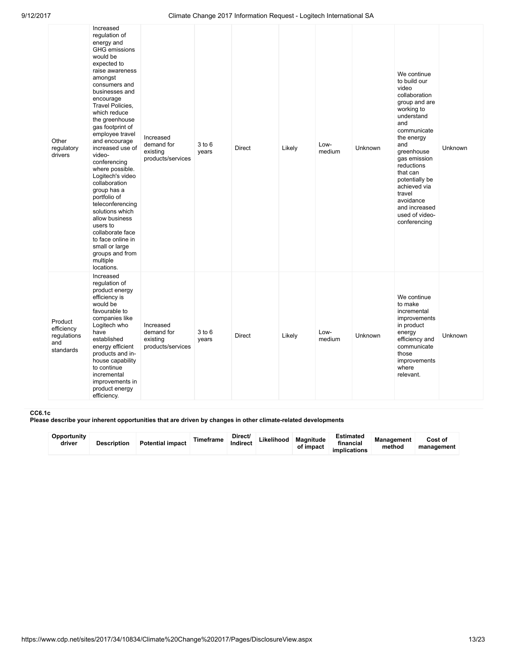| Other<br>regulatory<br>drivers                           | Increased<br>regulation of<br>energy and<br><b>GHG</b> emissions<br>would be<br>expected to<br>raise awareness<br>amongst<br>consumers and<br>businesses and<br>encourage<br>Travel Policies,<br>which reduce<br>the greenhouse<br>gas footprint of<br>employee travel<br>and encourage<br>increased use of<br>video-<br>conferencing<br>where possible.<br>Logitech's video<br>collaboration<br>group has a<br>portfolio of<br>teleconferencing<br>solutions which<br>allow business<br>users to<br>collaborate face<br>to face online in<br>small or large<br>groups and from<br>multiple<br>locations. | Increased<br>demand for<br>existing<br>products/services | $3$ to $6$<br>years | <b>Direct</b> | Likely | Low-<br>medium | Unknown | We continue<br>to build our<br>video<br>collaboration<br>group and are<br>working to<br>understand<br>and<br>communicate<br>the energy<br>and<br>greenhouse<br>gas emission<br>reductions<br>that can<br>potentially be<br>achieved via<br>travel<br>avoidance<br>and increased<br>used of video-<br>conferencing | Unknown |
|----------------------------------------------------------|-----------------------------------------------------------------------------------------------------------------------------------------------------------------------------------------------------------------------------------------------------------------------------------------------------------------------------------------------------------------------------------------------------------------------------------------------------------------------------------------------------------------------------------------------------------------------------------------------------------|----------------------------------------------------------|---------------------|---------------|--------|----------------|---------|-------------------------------------------------------------------------------------------------------------------------------------------------------------------------------------------------------------------------------------------------------------------------------------------------------------------|---------|
| Product<br>efficiency<br>regulations<br>and<br>standards | Increased<br>regulation of<br>product energy<br>efficiency is<br>would be<br>favourable to<br>companies like<br>Logitech who<br>have<br>established<br>energy efficient<br>products and in-<br>house capability<br>to continue<br>incremental<br>improvements in<br>product energy<br>efficiency.                                                                                                                                                                                                                                                                                                         | Increased<br>demand for<br>existing<br>products/services | 3 to 6<br>years     | <b>Direct</b> | Likely | Low-<br>medium | Unknown | We continue<br>to make<br>incremental<br>improvements<br>in product<br>energy<br>efficiency and<br>communicate<br>those<br>improvements<br>where<br>relevant.                                                                                                                                                     | Unknown |

# CC6.1c

Please describe your inherent opportunities that are driven by changes in other climate-related developments

| Opportunity<br>driver | <b>Description</b> | <b>Potential impact</b> | Timeframe | Direct/<br><b>Indirect</b> | Likelihood | Magnitude<br>of impact | <b>Estimated</b><br>financial<br>implications | <b>Management</b><br>method | Cost of<br>management |
|-----------------------|--------------------|-------------------------|-----------|----------------------------|------------|------------------------|-----------------------------------------------|-----------------------------|-----------------------|
|-----------------------|--------------------|-------------------------|-----------|----------------------------|------------|------------------------|-----------------------------------------------|-----------------------------|-----------------------|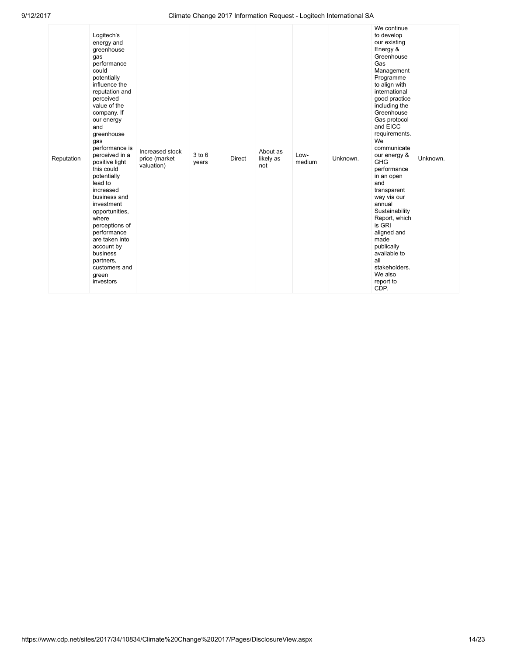| Reputation | Logitech's<br>energy and<br>greenhouse<br>gas<br>performance<br>could<br>potentially<br>influence the<br>reputation and<br>perceived<br>value of the<br>company. If<br>our energy<br>and<br>greenhouse<br>gas<br>performance is<br>perceived in a<br>positive light<br>this could<br>potentially<br>lead to<br>increased<br>business and<br>investment<br>opportunities,<br>where<br>perceptions of<br>performance<br>are taken into<br>account by<br>business<br>partners,<br>customers and<br>green<br>investors | Increased stock<br>price (market<br>valuation) | $3$ to $6$<br>years | Direct | About as<br>likely as<br>not | Low-<br>medium | Unknown. | We continue<br>to develop<br>our existing<br>Energy &<br>Greenhouse<br>Gas<br>Management<br>Programme<br>to align with<br>international<br>good practice<br>including the<br>Greenhouse<br>Gas protocol<br>and EICC<br>requirements.<br>We<br>communicate<br>our energy &<br><b>GHG</b><br>performance<br>in an open<br>and<br>transparent<br>way via our<br>annual<br>Sustainability<br>Report, which<br>is GRI<br>aligned and<br>made<br>publically<br>available to<br>all<br>stakeholders.<br>We also<br>report to<br>CDP. | Unknown. |  |
|------------|--------------------------------------------------------------------------------------------------------------------------------------------------------------------------------------------------------------------------------------------------------------------------------------------------------------------------------------------------------------------------------------------------------------------------------------------------------------------------------------------------------------------|------------------------------------------------|---------------------|--------|------------------------------|----------------|----------|-------------------------------------------------------------------------------------------------------------------------------------------------------------------------------------------------------------------------------------------------------------------------------------------------------------------------------------------------------------------------------------------------------------------------------------------------------------------------------------------------------------------------------|----------|--|
|------------|--------------------------------------------------------------------------------------------------------------------------------------------------------------------------------------------------------------------------------------------------------------------------------------------------------------------------------------------------------------------------------------------------------------------------------------------------------------------------------------------------------------------|------------------------------------------------|---------------------|--------|------------------------------|----------------|----------|-------------------------------------------------------------------------------------------------------------------------------------------------------------------------------------------------------------------------------------------------------------------------------------------------------------------------------------------------------------------------------------------------------------------------------------------------------------------------------------------------------------------------------|----------|--|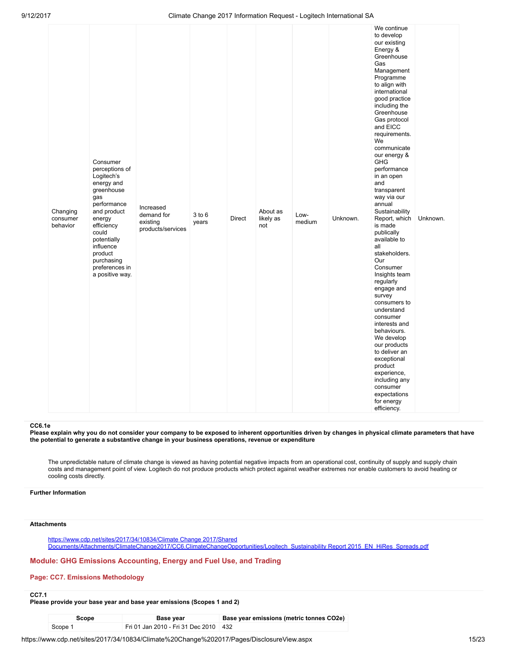| Changing<br>consumer<br>behavior |  | Consumer<br>perceptions of<br>Logitech's<br>energy and<br>greenhouse<br>gas<br>performance<br>and product<br>energy<br>efficiency<br>could<br>potentially<br>influence<br>product<br>purchasing<br>preferences in<br>a positive way. | Increased<br>demand for<br>existing<br>products/services | 3 to 6<br>years | <b>Direct</b> | About as<br>likely as<br>not | Low-<br>medium | Unknown. | to develop<br>our existing<br>Energy &<br>Greenhouse<br>Gas<br>Management<br>Programme<br>to align with<br>international<br>good practice<br>including the<br>Greenhouse<br>Gas protocol<br>and EICC<br>requirements.<br>We<br>communicate<br>our energy &<br><b>GHG</b><br>performance<br>in an open<br>and<br>transparent<br>way via our<br>annual<br>Sustainability<br>Report, which<br>is made<br>publically<br>available to<br>all<br>stakeholders.<br>Our<br>Consumer<br>Insights team<br>regularly<br>engage and<br>survey<br>consumers to<br>understand<br>consumer<br>interests and<br>behaviours.<br>We develop<br>our products<br>to deliver an<br>exceptional<br>product<br>experience,<br>including any<br>consumer<br>expectations<br>for energy<br>efficiency. | Unknown. |  |
|----------------------------------|--|--------------------------------------------------------------------------------------------------------------------------------------------------------------------------------------------------------------------------------------|----------------------------------------------------------|-----------------|---------------|------------------------------|----------------|----------|-------------------------------------------------------------------------------------------------------------------------------------------------------------------------------------------------------------------------------------------------------------------------------------------------------------------------------------------------------------------------------------------------------------------------------------------------------------------------------------------------------------------------------------------------------------------------------------------------------------------------------------------------------------------------------------------------------------------------------------------------------------------------------|----------|--|
|----------------------------------|--|--------------------------------------------------------------------------------------------------------------------------------------------------------------------------------------------------------------------------------------|----------------------------------------------------------|-----------------|---------------|------------------------------|----------------|----------|-------------------------------------------------------------------------------------------------------------------------------------------------------------------------------------------------------------------------------------------------------------------------------------------------------------------------------------------------------------------------------------------------------------------------------------------------------------------------------------------------------------------------------------------------------------------------------------------------------------------------------------------------------------------------------------------------------------------------------------------------------------------------------|----------|--|

## CC6.1e

Please explain why you do not consider your company to be exposed to inherent opportunities driven by changes in physical climate parameters that have the potential to generate a substantive change in your business operations, revenue or expenditure

The unpredictable nature of climate change is viewed as having potential negative impacts from an operational cost, continuity of supply and supply chain costs and management point of view. Logitech do not produce products which protect against weather extremes nor enable customers to avoid heating or cooling costs directly.

# Further Information

### **Attachments**

https://www.cdp.net/sites/2017/34/10834/Climate Change 2017/Shared [Documents/Attachments/ClimateChange2017/CC6.ClimateChangeOpportunities/Logitech\\_Sustainability](https://www.cdp.net/sites/2017/34/10834/Climate%20Change%202017/Shared%20Documents/Attachments/ClimateChange2017/CC6.ClimateChangeOpportunities/Logitech_Sustainability%20Report%202015_EN_HiRes_Spreads.pdf) Report 2015\_EN\_HiRes\_Spreads.pdf

## Module: GHG Emissions Accounting, Energy and Fuel Use, and Trading

## Page: CC7. Emissions Methodology

# CC7.1

# Please provide your base year and base year emissions (Scopes 1 and 2)

| Scope   | <b>Base year</b>                        | Base year emissions (metric tonnes CO2e) |
|---------|-----------------------------------------|------------------------------------------|
| Scope 1 | Fri 01 Jan 2010 - Fri 31 Dec 2010   432 |                                          |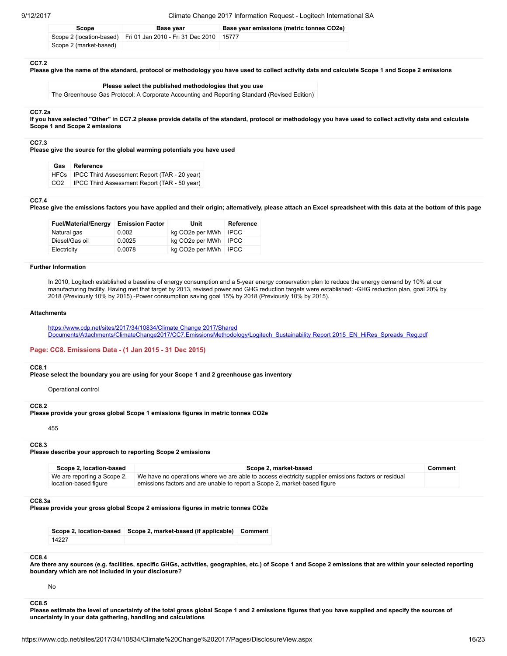| Scope                  | <b>Base vear</b>                                                   | Base year emissions (metric tonnes CO2e) |
|------------------------|--------------------------------------------------------------------|------------------------------------------|
|                        | Scope 2 (location-based) Fri 01 Jan 2010 - Fri 31 Dec 2010   15777 |                                          |
| Scope 2 (market-based) |                                                                    |                                          |

#### CC7.2

Please give the name of the standard, protocol or methodology you have used to collect activity data and calculate Scope 1 and Scope 2 emissions

#### Please select the published methodologies that you use

The Greenhouse Gas Protocol: A Corporate Accounting and Reporting Standard (Revised Edition)

#### CC7.2a

If you have selected "Other" in CC7.2 please provide details of the standard, protocol or methodology you have used to collect activity data and calculate Scope 1 and Scope 2 emissions

#### CC7.3

Please give the source for the global warming potentials you have used

| Gas | Reference |
|-----|-----------|
|-----|-----------|

| HFCs IPCC Third Assessment Report (TAR - 20 year)  |
|----------------------------------------------------|
| CO2   IPCC Third Assessment Report (TAR - 50 year) |

## CC7.4

Please give the emissions factors you have applied and their origin; alternatively, please attach an Excel spreadsheet with this data at the bottom of this page

| <b>Fuel/Material/Energy</b> | <b>Emission Factor</b> | Unit                   | Reference   |
|-----------------------------|------------------------|------------------------|-------------|
| Natural gas                 | 0.002                  | kg CO2e per MWh        | <b>IPCC</b> |
| Diesel/Gas oil              | 0.0025                 | kg CO2e per MWh   IPCC |             |
| Electricity                 | 0.0078                 | kg CO2e per MWh   IPCC |             |

## Further Information

In 2010, Logitech established a baseline of energy consumption and a 5-year energy conservation plan to reduce the energy demand by 10% at our manufacturing facility. Having met that target by 2013, revised power and GHG reduction targets were established: -GHG reduction plan, goal 20% by 2018 (Previously 10% by 2015) -Power consumption saving goal 15% by 2018 (Previously 10% by 2015).

### **Attachments**

https://www.cdp.net/sites/2017/34/10834/Climate Change 2017/Shared [Documents/Attachments/ClimateChange2017/CC7.EmissionsMethodology/Logitech\\_Sustainability](https://www.cdp.net/sites/2017/34/10834/Climate%20Change%202017/Shared%20Documents/Attachments/ClimateChange2017/CC7.EmissionsMethodology/Logitech_Sustainability%20Report%202015_EN_HiRes_Spreads_Reg.pdf) Report 2015\_EN\_HiRes\_Spreads\_Reg.pdf

### Page: CC8. Emissions Data - (1 Jan 2015 - 31 Dec 2015)

#### CC8.1

Please select the boundary you are using for your Scope 1 and 2 greenhouse gas inventory

Operational control

#### CC<sub>82</sub>

Please provide your gross global Scope 1 emissions figures in metric tonnes CO2e

455

#### CC8.3

Please describe your approach to reporting Scope 2 emissions

| Scope 2, location-based                              | Scope 2, market-based                                                                                                                                                             | Comment |
|------------------------------------------------------|-----------------------------------------------------------------------------------------------------------------------------------------------------------------------------------|---------|
| We are reporting a Scope 2,<br>location-based figure | We have no operations where we are able to access electricity supplier emissions factors or residual<br>emissions factors and are unable to report a Scope 2, market-based figure |         |

#### CC8.3a

Please provide your gross global Scope 2 emissions figures in metric tonnes CO2e

|       | Scope 2, location-based Scope 2, market-based (if applicable) Comment |  |
|-------|-----------------------------------------------------------------------|--|
| 14227 |                                                                       |  |

#### CC8.4

Are there any sources (e.g. facilities, specific GHGs, activities, geographies, etc.) of Scope 1 and Scope 2 emissions that are within your selected reporting boundary which are not included in your disclosure?

No

## CC8.5

Please estimate the level of uncertainty of the total gross global Scope 1 and 2 emissions figures that you have supplied and specify the sources of uncertainty in your data gathering, handling and calculations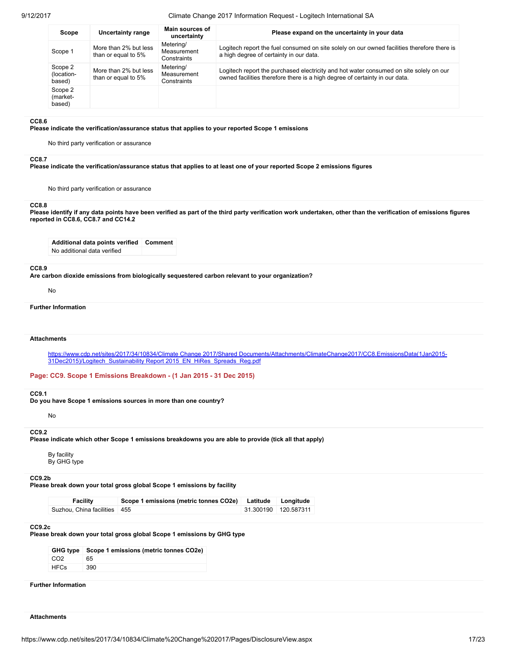| Scope                           | Uncertainty range                            | Main sources of<br>uncertainty          | Please expand on the uncertainty in your data                                                                                                                         |
|---------------------------------|----------------------------------------------|-----------------------------------------|-----------------------------------------------------------------------------------------------------------------------------------------------------------------------|
| Scope 1                         | More than 2% but less<br>than or equal to 5% | Metering/<br>Measurement<br>Constraints | Logitech report the fuel consumed on site solely on our owned facilities therefore there is<br>a high degree of certainty in our data.                                |
| Scope 2<br>(location-<br>based) | More than 2% but less<br>than or equal to 5% | Metering/<br>Measurement<br>Constraints | Logitech report the purchased electricity and hot water consumed on site solely on our<br>owned facilities therefore there is a high degree of certainty in our data. |
| Scope 2<br>(market-<br>based)   |                                              |                                         |                                                                                                                                                                       |

#### CC8.6

Please indicate the verification/assurance status that applies to your reported Scope 1 emissions

No third party verification or assurance

#### CC8.7

Please indicate the verification/assurance status that applies to at least one of your reported Scope 2 emissions figures

No third party verification or assurance

#### CC8.8

Please identify if any data points have been verified as part of the third party verification work undertaken, other than the verification of emissions figures reported in CC8.6, CC8.7 and CC14.2

Additional data points verified Comment No additional data verified

#### CC8.9

Are carbon dioxide emissions from biologically sequestered carbon relevant to your organization?

No

```
Further Information
```
#### **Attachments**

https://www.cdp.net/sites/2017/34/10834/Climate Change 2017/Shared [Documents/Attachments/ClimateChange2017/CC8.EmissionsData\(1Jan2015-](https://www.cdp.net/sites/2017/34/10834/Climate%20Change%202017/Shared%20Documents/Attachments/ClimateChange2017/CC8.EmissionsData(1Jan2015-31Dec2015)/Logitech_Sustainability%20Report%202015_EN_HiRes_Spreads_Reg.pdf) 31Dec2015)/Logitech\_Sustainability Report 2015\_EN\_HiRes\_Spreads\_Reg.pdf

Page: CC9. Scope 1 Emissions Breakdown - (1 Jan 2015 - 31 Dec 2015)

#### CC9.1

Do you have Scope 1 emissions sources in more than one country?

No

#### CC<sub>92</sub>

Please indicate which other Scope 1 emissions breakdowns you are able to provide (tick all that apply)

By facility By GHG type

## CC9.2b

Please break down your total gross global Scope 1 emissions by facility

| Facility                       | Scope 1 emissions (metric tonnes CO2e) Latitude | Longitude            |
|--------------------------------|-------------------------------------------------|----------------------|
| Suzhou, China facilities   455 |                                                 | 31.300190 120.587311 |

### CC9.2c

Please break down your total gross global Scope 1 emissions by GHG type

|                 | GHG type   Scope 1 emissions (metric tonnes CO2e) |
|-----------------|---------------------------------------------------|
| CO <sub>2</sub> | 65                                                |
| HFCs            | 390                                               |

Further Information

**Attachments**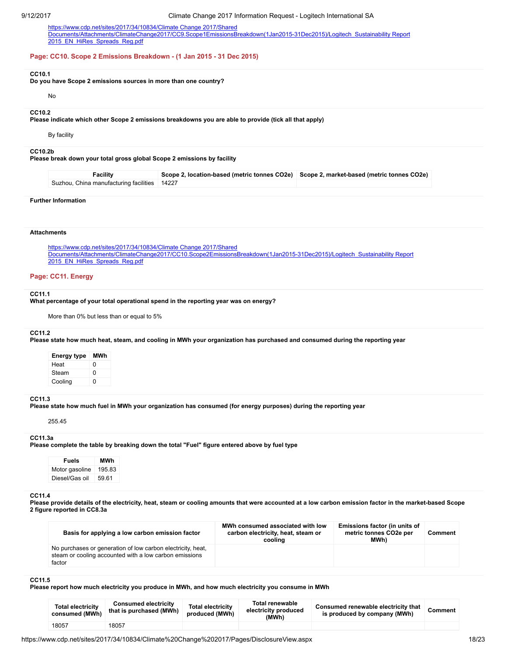https://www.cdp.net/sites/2017/34/10834/Climate Change 2017/Shared [Documents/Attachments/ClimateChange2017/CC9.Scope1EmissionsBreakdown\(1Jan2015-31Dec2015\)/Logitech\\_Sustainability](https://www.cdp.net/sites/2017/34/10834/Climate%20Change%202017/Shared%20Documents/Attachments/ClimateChange2017/CC9.Scope1EmissionsBreakdown(1Jan2015-31Dec2015)/Logitech_Sustainability%20Report%202015_EN_HiRes_Spreads_Reg.pdf) Report 2015 EN HiRes Spreads Reg.pdf

#### Page: CC10. Scope 2 Emissions Breakdown - (1 Jan 2015 - 31 Dec 2015)

## CC10.1

Do you have Scope 2 emissions sources in more than one country?

#### No

#### CC10.2

Please indicate which other Scope 2 emissions breakdowns you are able to provide (tick all that apply)

By facility

## CC10.2b

Please break down your total gross global Scope 2 emissions by facility

| Facility                                       | Scope 2, location-based (metric tonnes CO2e) Scope 2, market-based (metric tonnes CO2e) |  |
|------------------------------------------------|-----------------------------------------------------------------------------------------|--|
| Suzhou, China manufacturing facilities   14227 |                                                                                         |  |

### Further Information

## **Attachments**

https://www.cdp.net/sites/2017/34/10834/Climate Change 2017/Shared [Documents/Attachments/ClimateChange2017/CC10.Scope2EmissionsBreakdown\(1Jan2015-31Dec2015\)/Logitech\\_Sustainability](https://www.cdp.net/sites/2017/34/10834/Climate%20Change%202017/Shared%20Documents/Attachments/ClimateChange2017/CC10.Scope2EmissionsBreakdown(1Jan2015-31Dec2015)/Logitech_Sustainability%20Report%202015_EN_HiRes_Spreads_Reg.pdf) Report 2015 EN HiRes Spreads Reg.pdf

## Page: CC11. Energy

#### CC11.1

What percentage of your total operational spend in the reporting year was on energy?

More than 0% but less than or equal to 5%

## CC11.2

Please state how much heat, steam, and cooling in MWh your organization has purchased and consumed during the reporting year

| Energy type | MWh |
|-------------|-----|
| Heat        | O   |
| Steam       | ŋ   |
| Cooling     | U   |

## CC11.3

Please state how much fuel in MWh your organization has consumed (for energy purposes) during the reporting year

255.45

#### CC11.3a

Please complete the table by breaking down the total "Fuel" figure entered above by fuel type

Fuels MWh Motor gasoline | 195.83 Diesel/Gas oil 59.61

# CC11.4

Please provide details of the electricity, heat, steam or cooling amounts that were accounted at a low carbon emission factor in the market-based Scope 2 figure reported in CC8.3a

| Basis for applying a low carbon emission factor                                                                                 | MWh consumed associated with low<br>carbon electricity, heat, steam or<br>cooling | Emissions factor (in units of<br>metric tonnes CO2e per<br>MWh) | Comment |
|---------------------------------------------------------------------------------------------------------------------------------|-----------------------------------------------------------------------------------|-----------------------------------------------------------------|---------|
| No purchases or generation of low carbon electricity, heat,<br>steam or cooling accounted with a low carbon emissions<br>factor |                                                                                   |                                                                 |         |

## CC11.5

Please report how much electricity you produce in MWh, and how much electricity you consume in MWh

| <b>Total electricity</b><br>consumed (MWh) | <b>Consumed electricity</b><br>that is purchased (MWh) | <b>Total electricity</b><br>produced (MWh) | <b>Total renewable</b><br>electricity produced<br>(MWh) | Consumed renewable electricity that<br>is produced by company (MWh) | Comment |
|--------------------------------------------|--------------------------------------------------------|--------------------------------------------|---------------------------------------------------------|---------------------------------------------------------------------|---------|
| 18057                                      | 18057                                                  |                                            |                                                         |                                                                     |         |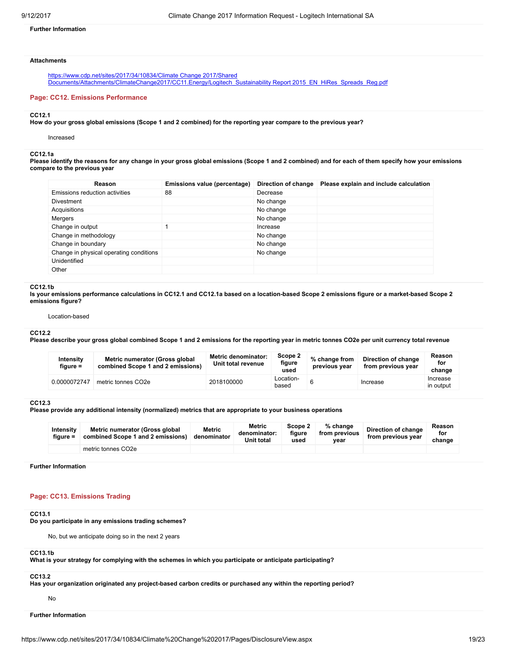## Further Information

## Attachments

https://www.cdp.net/sites/2017/34/10834/Climate Change 2017/Shared [Documents/Attachments/ClimateChange2017/CC11.Energy/Logitech\\_Sustainability](https://www.cdp.net/sites/2017/34/10834/Climate%20Change%202017/Shared%20Documents/Attachments/ClimateChange2017/CC11.Energy/Logitech_Sustainability%20Report%202015_EN_HiRes_Spreads_Reg.pdf) Report 2015\_EN\_HiRes\_Spreads\_Reg.pdf

### Page: CC12. Emissions Performance

#### CC12.1

How do your gross global emissions (Scope 1 and 2 combined) for the reporting year compare to the previous year?

Increased

## CC12.1a

Please identify the reasons for any change in your gross global emissions (Scope 1 and 2 combined) and for each of them specify how your emissions compare to the previous year

| Reason                                  | Emissions value (percentage) | Direction of change | Please explain and include calculation |
|-----------------------------------------|------------------------------|---------------------|----------------------------------------|
| Emissions reduction activities          | 88                           | Decrease            |                                        |
| <b>Divestment</b>                       |                              | No change           |                                        |
| Acquisitions                            |                              | No change           |                                        |
| Mergers                                 |                              | No change           |                                        |
| Change in output                        |                              | Increase            |                                        |
| Change in methodology                   |                              | No change           |                                        |
| Change in boundary                      |                              | No change           |                                        |
| Change in physical operating conditions |                              | No change           |                                        |
| Unidentified                            |                              |                     |                                        |
| Other                                   |                              |                     |                                        |

#### CC12.1b

Is your emissions performance calculations in CC12.1 and CC12.1a based on a location-based Scope 2 emissions figure or a market-based Scope 2 emissions figure?

Location-based

### CC12.2

Please describe your gross global combined Scope 1 and 2 emissions for the reporting year in metric tonnes CO2e per unit currency total revenue

| Intensity<br>figure = | Metric numerator (Gross global<br>combined Scope 1 and 2 emissions) | <b>Metric denominator:</b><br>Unit total revenue | Scope 2<br>figure<br>used | % change from<br>previous vear | Direction of change<br>from previous year | Reason<br>for<br>change |
|-----------------------|---------------------------------------------------------------------|--------------------------------------------------|---------------------------|--------------------------------|-------------------------------------------|-------------------------|
| 0.0000072747          | metric tonnes CO2e                                                  | 2018100000                                       | Location-<br>based        |                                | Increase                                  | Increase<br>in output   |

### CC12.3

Please provide any additional intensity (normalized) metrics that are appropriate to your business operations

| Intensity<br>figure $=$ | Metric numerator (Gross global<br>combined Scope 1 and 2 emissions) | Metric<br>denominator | Metric<br>denominator:<br><b>Unit total</b> | Scope 2<br>figure<br>used | $%$ change<br>from previous<br>vear | Direction of change<br>from previous year | Reason<br>for<br>change |
|-------------------------|---------------------------------------------------------------------|-----------------------|---------------------------------------------|---------------------------|-------------------------------------|-------------------------------------------|-------------------------|
|                         | metric tonnes CO2e                                                  |                       |                                             |                           |                                     |                                           |                         |

Further Information

# Page: CC13. Emissions Trading

# CC13.1

Do you participate in any emissions trading schemes?

No, but we anticipate doing so in the next 2 years

## CC13.1b

What is your strategy for complying with the schemes in which you participate or anticipate participating?

# CC13.2

Has your organization originated any project-based carbon credits or purchased any within the reporting period?

No

# Further Information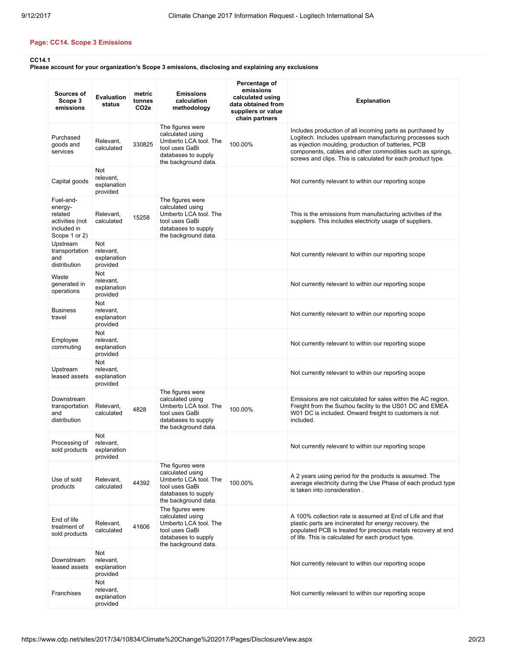# Page: CC14. Scope 3 Emissions

CC14.1

Please account for your organization's Scope 3 emissions, disclosing and explaining any exclusions

| Sources of<br>Scope 3<br>emissions                                                 | <b>Evaluation</b><br>status                        | metric<br>tonnes<br>CO <sub>2e</sub> | <b>Emissions</b><br>calculation<br>methodology                                                                                 | Percentage of<br>emissions<br>calculated using<br>data obtained from<br>suppliers or value<br>chain partners | <b>Explanation</b>                                                                                                                                                                                                                                                                                       |
|------------------------------------------------------------------------------------|----------------------------------------------------|--------------------------------------|--------------------------------------------------------------------------------------------------------------------------------|--------------------------------------------------------------------------------------------------------------|----------------------------------------------------------------------------------------------------------------------------------------------------------------------------------------------------------------------------------------------------------------------------------------------------------|
| Purchased<br>goods and<br>services                                                 | Relevant,<br>calculated                            | 330825                               | The figures were<br>calculated using<br>Umberto LCA tool. The<br>tool uses GaBi<br>databases to supply<br>the background data. | 100.00%                                                                                                      | Includes production of all incoming parts as purchased by<br>Logitech. Includes upstream manufacturing processes such<br>as injection moulding, production of batteries, PCB<br>components, cables and other commodities such as springs,<br>screws and clips. This is calculated for each product type. |
| Capital goods                                                                      | <b>Not</b><br>relevant,<br>explanation<br>provided |                                      |                                                                                                                                |                                                                                                              | Not currently relevant to within our reporting scope                                                                                                                                                                                                                                                     |
| Fuel-and-<br>energy-<br>related<br>activities (not<br>included in<br>Scope 1 or 2) | Relevant,<br>calculated                            | 15258                                | The figures were<br>calculated using<br>Umberto LCA tool. The<br>tool uses GaBi<br>databases to supply<br>the background data. |                                                                                                              | This is the emissions from manufacturing activities of the<br>suppliers. This includes electricity usage of suppliers.                                                                                                                                                                                   |
| Upstream<br>transportation<br>and<br>distribution                                  | <b>Not</b><br>relevant,<br>explanation<br>provided |                                      |                                                                                                                                |                                                                                                              | Not currently relevant to within our reporting scope                                                                                                                                                                                                                                                     |
| Waste<br>generated in<br>operations                                                | Not<br>relevant,<br>explanation<br>provided        |                                      |                                                                                                                                |                                                                                                              | Not currently relevant to within our reporting scope                                                                                                                                                                                                                                                     |
| <b>Business</b><br>travel                                                          | Not<br>relevant,<br>explanation<br>provided        |                                      |                                                                                                                                |                                                                                                              | Not currently relevant to within our reporting scope                                                                                                                                                                                                                                                     |
| Employee<br>commuting                                                              | Not<br>relevant,<br>explanation<br>provided        |                                      |                                                                                                                                |                                                                                                              | Not currently relevant to within our reporting scope                                                                                                                                                                                                                                                     |
| Upstream<br>leased assets                                                          | Not<br>relevant,<br>explanation<br>provided        |                                      |                                                                                                                                |                                                                                                              | Not currently relevant to within our reporting scope                                                                                                                                                                                                                                                     |
| Downstream<br>transportation<br>and<br>distribution                                | Relevant,<br>calculated                            | 4828                                 | The figures were<br>calculated using<br>Umberto LCA tool. The<br>tool uses GaBi<br>databases to supply<br>the background data. | 100.00%                                                                                                      | Emissions are not calculated for sales within the AC region.<br>Freight from the Suzhou facility to the US01 DC and EMEA<br>W01 DC is included. Onward freight to customers is not<br>included.                                                                                                          |
| Processing of<br>sold products                                                     | Not<br>relevant,<br>explanation<br>provided        |                                      |                                                                                                                                |                                                                                                              | Not currently relevant to within our reporting scope                                                                                                                                                                                                                                                     |
| Use of sold<br>products                                                            | Relevant,<br>calculated                            | 44392                                | The figures were<br>calculated using<br>Umberto LCA tool. The<br>tool uses GaBi<br>databases to supply<br>the background data. | 100.00%                                                                                                      | A 2 years using period for the products is assumed. The<br>average electricity during the Use Phase of each product type<br>is taken into consideration.                                                                                                                                                 |
| End of life<br>treatment of<br>sold products                                       | Relevant,<br>calculated                            | 41606                                | The figures were<br>calculated using<br>Umberto LCA tool. The<br>tool uses GaBi<br>databases to supply<br>the background data. |                                                                                                              | A 100% collection rate is assumed at End of Life and that<br>plastic parts are incinerated for energy recovery, the<br>populated PCB is treated for precious metals recovery at end<br>of life. This is calculated for each product type.                                                                |
| Downstream<br>leased assets                                                        | Not<br>relevant,<br>explanation<br>provided        |                                      |                                                                                                                                |                                                                                                              | Not currently relevant to within our reporting scope                                                                                                                                                                                                                                                     |
| Franchises                                                                         | Not<br>relevant,<br>explanation<br>provided        |                                      |                                                                                                                                |                                                                                                              | Not currently relevant to within our reporting scope                                                                                                                                                                                                                                                     |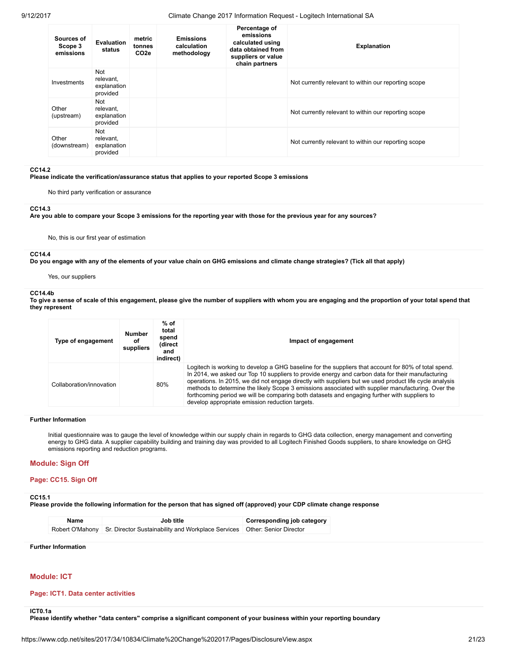| Sources of<br>Scope 3<br>emissions | Evaluation<br>status                        | metric<br>tonnes<br>CO <sub>2e</sub> | <b>Emissions</b><br>calculation<br>methodology | Percentage of<br>emissions<br>calculated using<br>data obtained from<br>suppliers or value<br>chain partners | <b>Explanation</b>                                   |
|------------------------------------|---------------------------------------------|--------------------------------------|------------------------------------------------|--------------------------------------------------------------------------------------------------------------|------------------------------------------------------|
| Investments                        | Not<br>relevant,<br>explanation<br>provided |                                      |                                                |                                                                                                              | Not currently relevant to within our reporting scope |
| Other<br>(upstream)                | Not<br>relevant,<br>explanation<br>provided |                                      |                                                |                                                                                                              | Not currently relevant to within our reporting scope |
| Other<br>(downstream)              | Not<br>relevant,<br>explanation<br>provided |                                      |                                                |                                                                                                              | Not currently relevant to within our reporting scope |

#### CC14.2

Please indicate the verification/assurance status that applies to your reported Scope 3 emissions

No third party verification or assurance

### CC14.3

Are you able to compare your Scope 3 emissions for the reporting year with those for the previous year for any sources?

No, this is our first year of estimation

# CC14.4

Do you engage with any of the elements of your value chain on GHG emissions and climate change strategies? (Tick all that apply)

Yes, our suppliers

## CC14.4b

To give a sense of scale of this engagement, please give the number of suppliers with whom you are engaging and the proportion of your total spend that they represent

| Type of engagement       | <b>Number</b><br>οf<br>suppliers | % of<br>total<br>spend<br>(direct<br>and<br>indirect) | Impact of engagement                                                                                                                                                                                                                                                                                                                                                                                                                                                                                                                                                        |
|--------------------------|----------------------------------|-------------------------------------------------------|-----------------------------------------------------------------------------------------------------------------------------------------------------------------------------------------------------------------------------------------------------------------------------------------------------------------------------------------------------------------------------------------------------------------------------------------------------------------------------------------------------------------------------------------------------------------------------|
| Collaboration/innovation |                                  | 80%                                                   | Logitech is working to develop a GHG baseline for the suppliers that account for 80% of total spend.<br>In 2014, we asked our Top 10 suppliers to provide energy and carbon data for their manufacturing<br>operations. In 2015, we did not engage directly with suppliers but we used product life cycle analysis<br>methods to determine the likely Scope 3 emissions associated with supplier manufacturing. Over the<br>forthcoming period we will be comparing both datasets and engaging further with suppliers to<br>develop appropriate emission reduction targets. |

## Further Information

Initial questionnaire was to gauge the level of knowledge within our supply chain in regards to GHG data collection, energy management and converting energy to GHG data. A supplier capability building and training day was provided to all Logitech Finished Goods suppliers, to share knowledge on GHG emissions reporting and reduction programs.

# Module: Sign Off

# Page: CC15. Sign Off

# CC15.1

Please provide the following information for the person that has signed off (approved) your CDP climate change response

| Name | Job title                                                                                 | Corresponding job category |
|------|-------------------------------------------------------------------------------------------|----------------------------|
|      | Robert O'Mahony Sr. Director Sustainability and Workplace Services Other: Senior Director |                            |

# Further Information

# Module: ICT

# Page: ICT1. Data center activities

ICT0.1a

Please identify whether "data centers" comprise a significant component of your business within your reporting boundary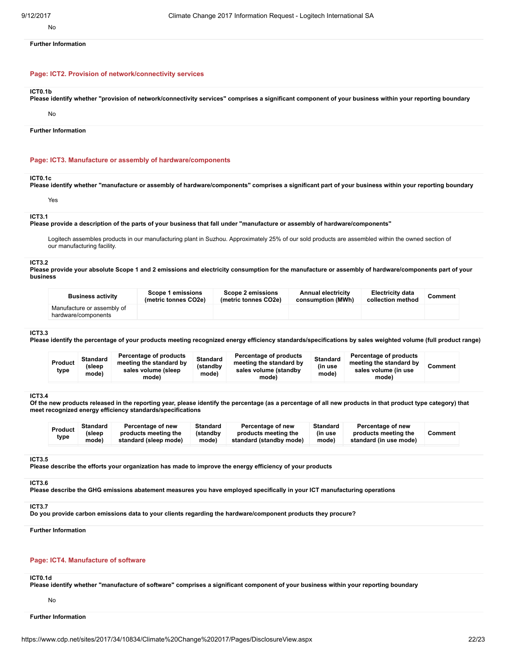No

Further Information

## Page: ICT2. Provision of network/connectivity services

### ICT0.1b

Please identify whether "provision of network/connectivity services" comprises a significant component of your business within your reporting boundary

## No

Further Information

### Page: ICT3. Manufacture or assembly of hardware/components

#### ICT0.1c

Please identify whether "manufacture or assembly of hardware/components" comprises a significant part of your business within your reporting boundary

# Yes

# ICT3.1

Please provide a description of the parts of your business that fall under "manufacture or assembly of hardware/components"

Logitech assembles products in our manufacturing plant in Suzhou. Approximately 25% of our sold products are assembled within the owned section of our manufacturing facility.

#### ICT3.2

Please provide your absolute Scope 1 and 2 emissions and electricity consumption for the manufacture or assembly of hardware/components part of your business

| <b>Business activity</b>                          | Scope 1 emissions<br>(metric tonnes CO2e) | Scope 2 emissions<br>(metric tonnes CO2e) | <b>Annual electricity</b><br>consumption (MWh) | <b>Electricity data</b><br>collection method | Comment |
|---------------------------------------------------|-------------------------------------------|-------------------------------------------|------------------------------------------------|----------------------------------------------|---------|
| Manufacture or assembly of<br>hardware/components |                                           |                                           |                                                |                                              |         |

### ICT3.3

Please identify the percentage of your products meeting recognized energy efficiency standards/specifications by sales weighted volume (full product range)

| Product<br>type | <b>Standard</b><br>(sleep<br>mode) | Percentage of products<br>meeting the standard by<br>sales volume (sleep<br>mode) | <b>Standard</b><br>(standby<br>mode) | Percentage of products<br>meeting the standard by<br>sales volume (standby<br>mode) | <b>Standard</b><br>(in use<br>mode) | Percentage of products<br>meeting the standard by<br>sales volume (in use<br>mode) | Comment |
|-----------------|------------------------------------|-----------------------------------------------------------------------------------|--------------------------------------|-------------------------------------------------------------------------------------|-------------------------------------|------------------------------------------------------------------------------------|---------|
|-----------------|------------------------------------|-----------------------------------------------------------------------------------|--------------------------------------|-------------------------------------------------------------------------------------|-------------------------------------|------------------------------------------------------------------------------------|---------|

#### ICT3.4

Of the new products released in the reporting year, please identify the percentage (as a percentage of all new products in that product type category) that meet recognized energy efficiency standards/specifications

#### ICT3.5

Please describe the efforts your organization has made to improve the energy efficiency of your products

## ICT3.6

Please describe the GHG emissions abatement measures you have employed specifically in your ICT manufacturing operations

#### ICT3.7

Do you provide carbon emissions data to your clients regarding the hardware/component products they procure?

## Further Information

# Page: ICT4. Manufacture of software

# ICT0.1d

Please identify whether "manufacture of software" comprises a significant component of your business within your reporting boundary

#### No

Further Information